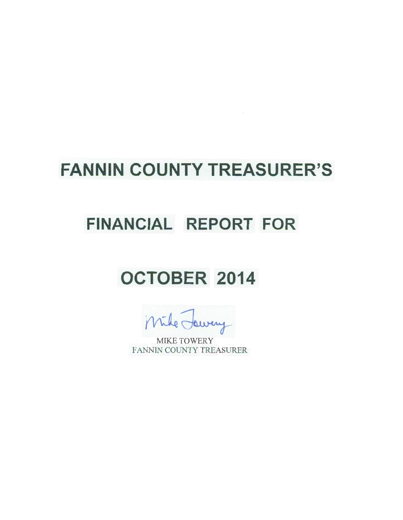## **FANNIN COUNTY TREASURER'S**

 $\sim$   $\sim$ 

### **FINANCIAL REPORT FOR**

# **OCTOBER 2014**

swery

MIKE TOWERY FANNIN COUNTY TREASURER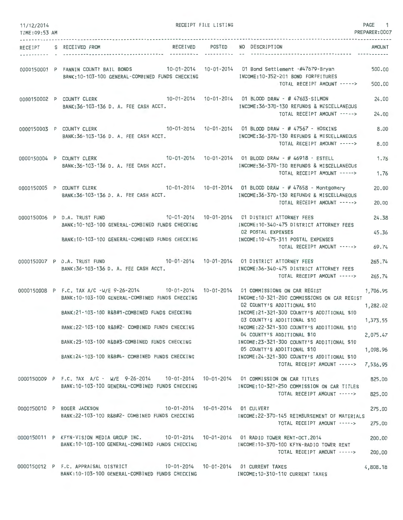| 11/12/2014<br>TIME: 09:53 AM |                                                                                                                                                                                                   | RECEIPT FILE LISTING |                                                                                                                                        | PAGE 1<br>PREPARER: 0007 |
|------------------------------|---------------------------------------------------------------------------------------------------------------------------------------------------------------------------------------------------|----------------------|----------------------------------------------------------------------------------------------------------------------------------------|--------------------------|
|                              | RECEIPT S RECEIVED FROM                                                                                                                                                                           | -------------        | RECEIVED POSTED NO DESCRIPTION                                                                                                         | AMOUNT                   |
|                              | 0000150001 P FANNIN COUNTY BAIL BONDS 10-01-2014 10-01-2014 01 Bond Settlement -#47679-Bryan<br>BANK:10-103-100 GENERAL-COMBINED FUNDS CHECKING MODE:10-352-201 BOND FORFEITURES                  |                      | TOTAL RECEIPT AMOUNT ----->                                                                                                            | 500.00<br>500,00         |
|                              | 0000150002 P COUNTY CLERK<br>BANK:36-103-136 D. A. FEE CASH ACCT.                                                                                                                                 |                      | 10-01-2014  10-01-2014  01 BLOOD DRAW - # 47603-SILMON<br>INCOME: 36-370-130 REFUNDS & MISCELLANEOUS<br>TOTAL RECEIPT AMOUNT ----->    | 24.00<br>24.00           |
|                              | 0000150003 P COUNTY CLERK<br>BANK: 36-103-136 D. A. FEE CASH ACCT.                                                                                                                                |                      | 10-01-2014  10-01-2014  01 BLOOD DRAW - # 47567 - HOSKINS<br>INCOME: 36-370-130 REFUNDS & MISCELLANEOUS<br>TOTAL RECEIPT AMOUNT -----> | 8.00<br>8.00             |
|                              | 0000150004 P COUNTY CLERK 10-01-2014 10-01-2014 01 BLOOD DRAW - #46918 - ESTELL<br>BANK: 36-103-136 D. A. FEE CASH ACCT.                                                                          |                      | INCOME: 36-370-130 REFUNDS & MISCELLANEOUS<br>TOTAL RECEIPT AMOUNT ----->                                                              | 1.76<br>1.76             |
|                              | 0000150005 P COUNTY CLERK 10-01-2014 10-01-2014 10-01-2014 01 BLOOD DRAW - #47658 - Montgomery<br>BANK:36-103-136 D. A. FEE CASH ACCT.                                                            |                      | INCOME: 36-370-130 REFUNDS & MISCELLANEOUS<br>TOTAL RECEIPT AMOUNT ----->                                                              | 20.00<br>20,00           |
|                              | 10-01-2014  10-01-2014  01 DISTRICT ATTORNEY FEES<br>0000150006 P D.A. TRUST FUND<br>BANK: 10-103-100 GENERAL-COMBINED FUNDS CHECKING                                                             |                      | INCOME:10-340-475 DISTRICT ATTORNEY FEES                                                                                               | 24.38                    |
|                              | BANK:10-103-100 GENERAL-COMBINED FUNDS CHECKING                                                                                                                                                   |                      | <b>02 POSTAL EXPENSES</b><br>INCOME:10-475-311 POSTAL EXPENSES<br>TOTAL RECEIPT AMOUNT ----->                                          | 45.36<br>69.74           |
|                              | 0000150007 P D.A. TRUST FUND 10-01-2014 10-01-2014 01 DISTRICT ATTORNEY FEES<br>BANK:36-103-136 D. A. FEE CASH ACCT.                                                                              |                      | INCOME: 36-340-475 DISTRICT ATTORNEY FEES<br>TOTAL RECEIPT AMOUNT ----->                                                               | 265.74<br>265.74         |
|                              | 0000150008 P F.C. TAX A/C -W/E 9-26-2014 10-01-2014 10-01-2014 01 COMMISSIONS ON CAR REGIST<br>BANK: 10-103-100 GENERAL-COMBINED FUNDS CHECKING<br>BANK: 21-103-100 R&B#1-COMBINED FUNDS CHECKING |                      | INCOME: 10-321-200 COMMISSIONS ON CAR REGIST<br>02 COUNTY'S ADDITIONAL \$10<br>INCOME: 21-321-300 COUNTY'S ADDITIONAL \$10             | 1,706.95<br>1,282.02     |
|                              | BANK:22-103-100 R&B#2- COMBINED FUNDS CHECKING                                                                                                                                                    |                      | 03 COUNTY'S ADDITIONAL \$10<br>INCOME: 22-321-300 COUNTY'S ADDITIONAL \$10<br>04 COUNTY'S ADDITIONAL \$10                              | 1,373.55<br>2,075.47     |
|                              | BANK:23-103-100 R&B#3-COMBINED FUNDS CHECKING                                                                                                                                                     |                      | INCOME: 23-321-300 COUNTY'S ADDITIONAL \$10<br>05 COUNTY'S ADDITIONAL \$10                                                             | 1,098.96                 |
|                              | BANK:24-103-100 R&B#4- COMBINED FUNDS CHECKING THE THOME:24-321-300 COUNTY'S ADDITIONAL \$10                                                                                                      |                      | TOTAL RECEIPT AMOUNT ----->                                                                                                            | 7,536.95                 |
|                              | 0000150009 P F.C. TAX A/C - W/E 9-26-2014 10-01-2014 10-01-2014 01 COMMISSION ON CAR TITLES<br>BANK: 10-103-100 GENERAL-COMBINED FUNDS CHECKING                                                   |                      | INCOME:10-321-250 COMMISSION ON CAR TITLES<br>TOTAL RECEIPT AMOUNT ----->                                                              | 825.00<br>825,00         |
|                              | 10-01-2014  10-01-2014  01 CULVERT<br>0000150010 P ROGER JACKSON<br>BANK: 22-103-100 R&B#2- COMBINED FUNDS CHECKING                                                                               |                      | INCOME: 22-370-145 REIMBURSEMENT OF MATERIALS<br>TOTAL RECEIPT AMOUNT ----->                                                           | 275.00<br>275.00         |
|                              | 0000150011 P KFYN-VISION MEDIA GROUP INC. 10-01-2014 10-01-2014 01 RADIO TOWER RENT-OCT.2014<br>BANK: 10-103-100 GENERAL-COMBINED FUNDS CHECKING                                                  |                      | INCOME:10-370-100 KFYN-RADIO TOWER RENT<br>TOTAL RECEIPT AMOUNT ----->                                                                 | 200.00<br>200.00         |
|                              | 0000150012 P F.C. APPRAISAL DISTRICT 10-01-2014 10-01-2014 01 CURRENT TAXES<br>BANK:10-103-100 GENERAL-COMBINED FUNDS CHECKING MODE:10-310-110 CURRENT TAXES                                      |                      |                                                                                                                                        | 4,808.18                 |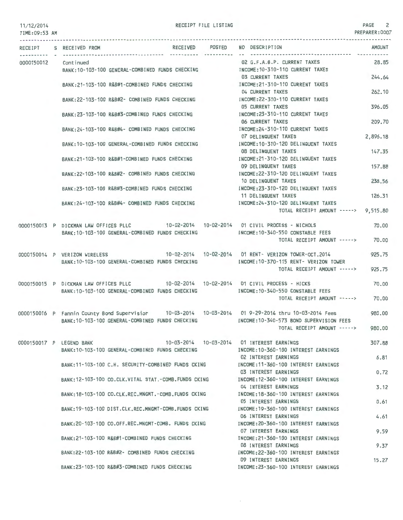#### 11/12/2014 TIME:09:53 AM

#### RECEIPT FILE LISTING **PAGE** 2

|  | RECEIPT S RECEIVED FROM                                                                                                                    | RECEIVED POSTED | NO DESCRIPTION                                                                                   | <b>AMOUNT</b> |
|--|--------------------------------------------------------------------------------------------------------------------------------------------|-----------------|--------------------------------------------------------------------------------------------------|---------------|
|  | ---------------- ----------- --------<br>0000150012 Continued                                                                              |                 | ------------------------------<br>02 G.F.A.B.P. CURRENT TAXES                                    | 28.85         |
|  | BANK: 10-103-100 GENERAL-COMBINED FUNDS CHECKING                                                                                           |                 | INCOME:10-310-110 CURRENT TAXES<br>03 CURRENT TAXES                                              | 244.64        |
|  | BANK:21-103-100 R&B#1-COMBINED FUNDS CHECKING                                                                                              |                 | INCOME: 21-310-110 CURRENT TAXES<br>04 CURRENT TAXES                                             | 262.10        |
|  | BANK:22-103-100 R&B#2- COMBINED FUNDS CHECKING                                                                                             |                 | INCOME:22-310-110 CURRENT TAXES<br>05 CURRENT TAXES                                              | 396.05        |
|  | BANK: 23-103-100 R&B#3-COMBINED FUNDS CHECKING                                                                                             |                 | INCOME: 23-310-110 CURRENT TAXES<br>06 CURRENT TAXES                                             | 209.70        |
|  | BANK: 24-103-100 R&B#4- COMBINED FUNDS CHECKING                                                                                            |                 | INCOME:24-310-110 CURRENT TAXES                                                                  |               |
|  | BANK: 10-103-100 GENERAL-COMBINED FUNDS CHECKING                                                                                           |                 | 07 DELINQUENT TAXES<br>INCOME:10-310-120 DELINQUENT TAXES                                        | 2,896.18      |
|  | BANK:21-103-100 R&B#1-COMBINED FUNDS CHECKING                                                                                              |                 | 08 DELINQUENT TAXES<br>INCOME:21-310-120 DELINQUENT TAXES                                        | 147.35        |
|  | BANK: 22-103-100 R&B#2- COMBINED FUNDS CHECKING                                                                                            |                 | 09 DELINQUENT TAXES<br>INCOME: 22-310-120 DELINQUENT TAXES                                       | 157.88        |
|  | BANK:23-103-100 R&B#3-COMBINED FUNDS CHECKING                                                                                              |                 | 10 DELINQUENT TAXES<br>INCOME: 23-310-120 DELINQUENT TAXES                                       | 238,56        |
|  | BANK: 24-103-100 R&B#4- COMBINED FUNDS CHECKING                                                                                            |                 | 11 DELINQUENT TAXES<br>INCOME: 24-310-120 DELINQUENT TAXES                                       | 126.31        |
|  |                                                                                                                                            |                 | TOTAL RECEIPT AMOUNT -----> 9,515.80                                                             |               |
|  | 0000150013 P DICKMAN LAW OFFICES PLLC 10-02-2014 10-02-2014 01 CIVIL PROCESS - NICHOLS<br>BANK: 10-103-100 GENERAL-COMBINED FUNDS CHECKING |                 | INCOME:10-340-550 CONSTABLE FEES                                                                 | 70,00         |
|  |                                                                                                                                            |                 | TOTAL RECEIPT AMOUNT -----> 70.00                                                                |               |
|  | 0000150014 P VERIZON WIRELESS<br>BANK: 10-103-100 GENERAL-COMBINED FUNDS CHECKING                                                          |                 | 10-02-2014  10-02-2014  01 RENT- VERIZON TOWER-OCT.2014<br>INCOME:10-370-115 RENT- VERIZON TOWER | 925.75        |
|  |                                                                                                                                            |                 | TOTAL RECEIPT AMOUNT ----->                                                                      | 925.75        |
|  | 0000150015 P DICKMAN LAW OFFICES PLLC 10-02-2014 10-02-2014 01 CIVIL PROCESS - HICKS                                                       |                 |                                                                                                  | 70.00         |
|  | BANK: 10-103-100 GENERAL-COMBINED FUNDS CHECKING                                                                                           |                 | INCOME:10-340-550 CONSTABLE FEES<br>TOTAL RECEIPT AMOUNT ----->                                  | 70.00         |
|  | 0000150016 P Fannin County Bond Supervisior 10-03-2014 10-03-2014 01 9-29-2014 thru 10-03-2014 Fees                                        |                 |                                                                                                  | 980,00        |
|  | BANK: 10-103-100 GENERAL-COMBINED FUNDS CHECKING                                                                                           |                 | INCOME: 10-340-573 BOND SUPERVISION FEES<br>TOTAL RECEIPT AMOUNT ----->                          | 980.00        |
|  | 0000150017 P LEGEND BANK                                                                                                                   |                 | 10-03-2014  10-03-2014  01 INTEREST EARNINGS                                                     | 307.88        |
|  | BANK: 10-103-100 GENERAL-COMBINED FUNDS CHECKING                                                                                           |                 | INCOME: 10-360-100 INTEREST EARNINGS<br>02 INTEREST EARNINGS                                     | 6.81          |
|  | BANK:11-103-100 C.H. SECURITY-COMBINED FUNDS CKING                                                                                         |                 | INCOME: 11-360-100 INTEREST EARNINGS<br>03 INTEREST EARNINGS                                     | 0.72          |
|  | BANK: 12-103-100 CO.CLK.VITAL STAT.-COMB.FUNDS CKING                                                                                       |                 | INCOME: 12-360-100 INTEREST EARNINGS<br>04 INTEREST EARNINGS                                     | 3.12          |
|  | BANK:18-103-100 CO.CLK.REC.MNGMT.-COMB.FUNDS CKING                                                                                         |                 | INCOME: 18-360-100 INTEREST EARNINGS<br>05 INTEREST EARNINGS                                     | 0.61          |
|  | BANK: 19-103-100 DIST.CLK.REC.MNGMT-COMB.FUNDS CKING                                                                                       |                 | INCOME: 19-360-100 INTEREST EARNINGS<br>06 INTEREST EARNINGS                                     | 4.61          |
|  | BANK: 20-103-100 CO.OFF.REC.MNGMT-COMB. FUNDS CKING                                                                                        |                 | INCOME: 20-360-100 INTEREST EARNINGS<br>07 INTEREST EARNINGS                                     | 9.59          |
|  | BANK:21-103-100 R&B#1-COMBINED FUNDS CHECKING                                                                                              |                 | INCOME: 21-360-100 INTEREST EARNINGS<br>08 INTEREST EARNINGS                                     | 9.37          |
|  | BANK:22-103-100 R&B#2- COMBINED FUNDS CHECKING                                                                                             |                 | INCOME: 22-360-100 INTEREST EARNINGS                                                             |               |
|  | BANK:23-103-100 R&B#3-COMBINED FUNDS CHECKING                                                                                              |                 | 09 INTEREST EARNINGS<br>INCOME: 23-360-100 INTEREST EARNINGS                                     | 15.27         |

 $\mathcal{L}$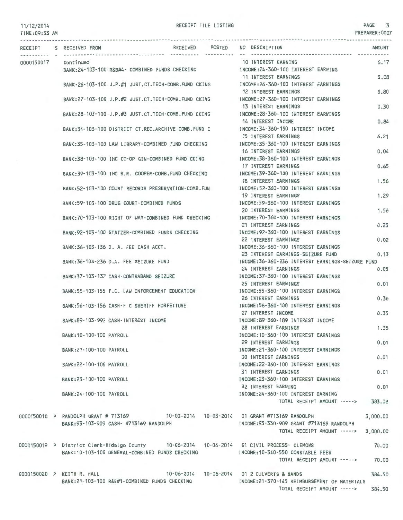TIME:09:53 AM RECEIPT S RECEIVED FROM RECEIVED POSTED 0000150017 Continued BANK:24-103-100 R&B#4- COMBINED FUNDS CHECKING BANK :26- 103-100 J.P.#1 JUST.CT.TECH-COMB.FUND CKING BANK:27-103-100 J.P.#2 JUST.CT.TECH-COMB.FUND CKING BANK:28-103-100 J.P.#3 JUST.CT.TECH-COMB.FUND CKING BANK:34-103-100 DISTRICT CT.REC.ARCHIVE COMB.FUND C BANK: 35-103-100 LAW LIBRARY-COMBINED FUND CHECKING BANK:38-103-100 IHC CO-OP GIN-COMBINED FUND CKING BANK:39-103-100 IHC B.R. COOPER-COMB.FUND CHECKING BANK:52-103-100 COURT RECORDS PRESERVATION-COMB.FUN BANK:59- 103-100 DRUG COURT -COMBINED FUNDS BANK: 70-103-100 RIGHT OF WAY-COMBINED FUND CHECKING BANK:92-103-100 STATZER-COMBINED FUNDS CHECKING BANK:36- 103-136 D. A. FEE CASH ACCT. BANK:36-103-236 D.A. FEE SEIZURE FUND BANK:37- 103-137 CASH-CONTRABAND SEIZURE BANK:55-103-155 F.C. LAW ENFORCEMENT EDUCATION BANK: 56-103-156 CASH-F C SHERIFF FORFEITURE BANK:89-103-992 CASH-INTEREST INCOME BANK:10-100-100 PAYROLL BANK:21-100-100 PAYROLL BANK:22-100-100 PAYROLL BANK :23-100-100 PAYROLL BANK:24-100-100 PAYROLL RECEIVED POSTED NO DESCRIPTION 10 INTEREST EARNING INCOME:24-360-100 INTEREST EARNING 11 INTEREST EARNINGS INCOME:26-360-100 INTEREST EARNINGS 12 INTEREST EARNINGS INCOME:27-360-100 INTEREST EARNINGS 13 INTEREST EARNINGS INCOME:28-360-100 INTEREST EARNINGS 14 INTEREST INCOME INCOME:34-360-100 INTEREST INCOME 15 INTEREST EARNINGS INCOME:35-360-100 INTEREST EARNINGS 16 INTEREST EARNINGS INCOME:38-360-100 INTEREST EARNINGS 17 INTEREST EARNINGS INCOME:39-360-100 INTEREST EARNINGS 18 INTEREST EARNINGS INCOME:52-360-100 INTEREST EARNINGS 19 INTEREST EARNINGS INCOME:59-360-100 INTEREST EARNINGS 20 INTEREST EARNINGS INCOME:70 -360-100 INTEREST EARNINGS 21 INTEREST EARNINGS INCOME:92-360-100 INTEREST EARNINGS 22 INTEREST EARNINGS INCOME:36-360-100 INTEREST EARNINGS 23 INTEREST FARNINGS-SEIZURE FUND **AMOUNT** 6.17 3.08 0.80 0.30 0.84 6.21 0.04 0.65 1.56 1.29 1.56 0.23 0.02 0.13 INCOME:36-360-236 INTEREST EARNINGS-SEIZURE FUND 24 INTEREST EARNINGS 0.05 INCOME:37-360-100 INTEREST EARNINGS 25 INTEREST EARNINGS INCOME:55-360-100 INTEREST EARNINGS 26 INTEREST EARNINGS INCOME:56-360-100 INTEREST EARNINGS 27 INTEREST INCOME INCOME:89-360-189 INTEREST INCOME 28 INTEREST EARNINGS INCOME:10-360-100 INTEREST EARNINGS 29 INTEREST EARNINGS INCOME:21-360-100 INTEREST EARNINGS 30 INTEREST EARNINGS INCOME:22-360-100 INTEREST EARNINGS 31 INTEREST EARNINGS INCOME:23-360- 100 INTEREST EARNINGS 32 INTEREST EARNING INCOME:24-360-100 INTEREST EARNING TOTAL RECEIPT AMOUNT - ----> 383.02 0.01 0.36 0.35 1.35 0.01 0.01 0.01 0.01 0000150018 P RANDOLPH GRANT # 713169 10-03-2014 10-03-2014 10-03-2014 01 GRANT #713169 RANDOLPH 3,000.00 BANK:93- 103-909 CASH- #713169 RANDOLPH INCOME:93-330-909 GRANT #713169 RANDOLPH 0000150019 P District Clerk-Hidalgo County BANK:10-103-100 GENERAL-COMBINED FUNDS CHECKING TOTAL RECEIPT AMOUNT --- --> 3,000.00 10-06-2014 10-06-2014 01 CIVIL PROCESS- CLEMONS INCOME:10-340-550 CONSTABLE FEES 70.00 TOTAL RECEIPT AMOUNT -----> 70.00 0000150020 P KEITH R. HALL 10-06-2014 10-06-2014 01 2 CULVERTS & BANDS 384.50 BANK:21-103-100 R&B#1-COMBINED FUNDS CHECKING INCOME:21-370-145 REIMBURSEMENT OF MATERIALS TOTAL RECEIPT AMOUNT --- --> 384.50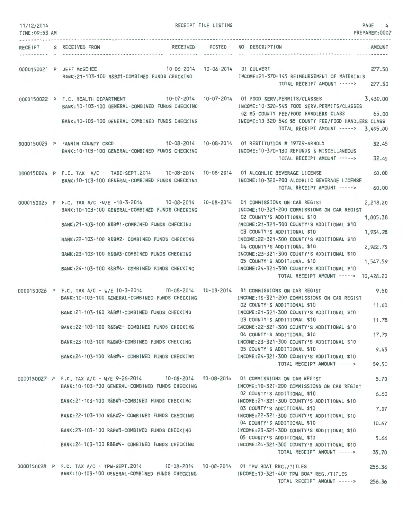| 11/12/2014<br>TIME: 09:53 AM |                                                                                                                                                   | RECEIPT FILE LISTING | PAGE 4<br>PREPARER:0007                                                                                                                                                                                                                                                                       |
|------------------------------|---------------------------------------------------------------------------------------------------------------------------------------------------|----------------------|-----------------------------------------------------------------------------------------------------------------------------------------------------------------------------------------------------------------------------------------------------------------------------------------------|
|                              | RECEIVED POSTED<br>RECEIPT S RECEIVED FROM                                                                                                        |                      | NO DESCRIPTION<br>AMOUNT                                                                                                                                                                                                                                                                      |
|                              | 10-06-2014  10-06-2014  01 CULVERT<br>0000150021 P JEFF McGEHEE<br>BANK:21-103-100 R&B#1-COMBINED FUNDS CHECKING                                  |                      | 277.50<br>INCOME:21-370-145 REIMBURSEMENT OF MATERIALS<br>TOTAL RECEIPT AMOUNT -----> 277.50                                                                                                                                                                                                  |
|                              | BANK: 10-103-100 GENERAL-COMBINED FUNDS CHECKING<br>BANK: 10-103-100 GENERAL-COMBINED FUNDS CHECKING                                              |                      | 0000150022 P F.C. HEALTH DEPARTMENT 10-07-2014 10-07-2014 01 FOOD SERV.PERMITS/CLASSES 3,430.00<br>INCOME:10-320-545 FOOD SERV.PERMITS/CLASSES<br>02 \$5 COUNTY FEE/FOOD HANDLERS CLASS 65.00<br>INCOME:10-320-546 \$5 COUNTY FEE/FOOD HANDLERS CLASS<br>TOTAL RECEIPT AMOUNT -----> 3,495.00 |
|                              | 0000150023 P FANNIN COUNTY CSCD 10-08-2014 10-08-2014 01 RESTITUTION # 19729-ARNOLD<br>BANK: 10-103-100 GENERAL-COMBINED FUNDS CHECKING           |                      | 32.45<br>INCOME: 10-370-130 REFUNDS & MISCELLANEOUS<br>TOTAL RECEIPT AMOUNT -----><br>32.45                                                                                                                                                                                                   |
|                              | 0000150024 P F.C. TAX A/C - TABC-SEPT.2014 10-08-2014 10-08-2014 01 ALCOHLIC BEVERAGE LICENSE<br>BANK: 10-103-100 GENERAL-COMBINED FUNDS CHECKING |                      | 60.00<br>INCOME:10-320-200 ALCOHLIC BEVERAGE LICENSE<br>TOTAL RECEIPT AMOUNT -----><br>60.00                                                                                                                                                                                                  |
|                              | 0000150025 P F.C. TAX A/C -W/E -10-3-2014 10-08-2014 10-08-2014 01 COMMISSIONS ON CAR REGIST<br>BANK: 10-103-100 GENERAL-COMBINED FUNDS CHECKING  |                      | 2.218.20<br>INCOME: 10-321-200 COMMISSIONS ON CAR REGIST<br>02 COUNTY'S ADDITIONAL \$10<br>1,805.38                                                                                                                                                                                           |
|                              | BANK: 21-103-100 R&B#1-COMBINED FUNDS CHECKING                                                                                                    |                      | INCOME:21-321-300 COUNTY'S ADDITIONAL \$10<br>03 COUNTY'S ADDITIONAL \$10<br>1,934.28                                                                                                                                                                                                         |
|                              | BANK: 22-103-100 R&B#2- COMBINED FUNDS CHECKING                                                                                                   |                      | INCOME:22-321-300 COUNTY'S ADDITIONAL \$10<br>04 COUNTY'S ADDITIONAL \$10<br>2,922.75                                                                                                                                                                                                         |
|                              | BANK:23-103-100 R&B#3-COMBINED FUNDS CHECKING                                                                                                     |                      | INCOME:23-321-300 COUNTY'S ADDITIONAL \$10<br>05 COUNTY'S ADDITIONAL \$10<br>1,547.59                                                                                                                                                                                                         |
|                              | BANK:24-103-100 R&B#4- COMBINED FUNDS CHECKING                                                                                                    |                      | INCOME: 24-321-300 COUNTY'S ADDITIONAL \$10<br>TOTAL RECEIPT AMOUNT -----> 10,428.20                                                                                                                                                                                                          |
|                              | 0000150026 P F.C. TAX A/C - W/E 10-3-2014 10-08-2014 10-08-2014 01 COMMISSIONS ON CAR REGIST<br>BANK: 10-103-100 GENERAL-COMBINED FUNDS CHECKING  |                      | 9.50<br>INCOME: 10-321-200 COMMISSIONS ON CAR REGIST                                                                                                                                                                                                                                          |
|                              | BANK:21-103-100 R&B#1-COMBINED FUNDS CHECKING                                                                                                     |                      | 02 COUNTY'S ADDITIONAL \$10<br>11.00<br>INCOME:21-321-300 COUNTY'S ADDITIONAL \$10                                                                                                                                                                                                            |
|                              | BANK:22-103-100 R&B#2- COMBINED FUNDS CHECKING                                                                                                    |                      | 03 COUNTY'S ADDITIONAL \$10<br>11.78<br>INCOME: 22-321-300 COUNTY'S ADDITIONAL \$10                                                                                                                                                                                                           |
|                              | BANK:23-103-100 R&B#3-COMBINED FUNDS CHECKING                                                                                                     |                      | 04 COUNTY'S ADDITIONAL \$10<br>17.79<br>INCOME: 23-321-300 COUNTY'S ADDITIONAL \$10                                                                                                                                                                                                           |
|                              | BANK:24-103-100 R&B#4- COMBINED FUNDS CHECKING                                                                                                    |                      | 05 COUNTY'S ADDITIONAL \$10<br>9.43<br>INCOME: 24-321-300 COUNTY'S ADDITIONAL \$10                                                                                                                                                                                                            |
|                              | 0000150027 P F.C. TAX A/C - W/E 9-26-2014 10-08-2014 10-08-2014 01 COMMISSIONS ON CAR REGIST                                                      |                      | TOTAL RECEIPT AMOUNT -----><br>59.50<br>5.70                                                                                                                                                                                                                                                  |
|                              | BANK: 10-103-100 GENERAL-COMBINED FUNDS CHECKING                                                                                                  |                      | INCOME: 10-321-200 COMMISSIONS ON CAR REGIST<br>02 COUNTY'S ADDITIONAL \$10<br>6.60                                                                                                                                                                                                           |
|                              | BANK:21-103-100 R&B#1-COMBINED FUNDS CHECKING                                                                                                     |                      | INCOME: 21-321-300 COUNTY'S ADDITIONAL \$10<br>03 COUNTY'S ADDITIONAL \$10<br>7.07                                                                                                                                                                                                            |
|                              | BANK:22-103-100 R&B#2- COMBINED FUNDS CHECKING                                                                                                    |                      | INCOME:22-321-300 COUNTY'S ADDITIONAL \$10<br>04 COUNTY'S ADDITIONAL \$10<br>10.67                                                                                                                                                                                                            |
|                              | BANK:23-103-100 R&B#3-COMBINED FUNDS CHECKING                                                                                                     |                      | INCOME:23-321-300 COUNTY'S ADDITIONAL \$10<br>05 COUNTY'S ADDITIONAL \$10<br>5.66                                                                                                                                                                                                             |
|                              | BANK:24-103-100 R&B#4- COMBINED FUNDS CHECKING                                                                                                    |                      | INCOME:24-321-300 COUNTY'S ADDITIONAL \$10<br>TOTAL RECEIPT AMOUNT -----><br>35.70                                                                                                                                                                                                            |
|                              | 0000150028 P F.C. TAX A/C - TPW-SEPT.2014 10-08-2014 10-08-2014 01 TPW BOAT REG./TITLES<br>BANK:10-103-100 GENERAL-COMBINED FUNDS CHECKING        |                      | 256.36<br>INCOME:10-321-400 TPW BOAT REG./TITLES                                                                                                                                                                                                                                              |
|                              |                                                                                                                                                   |                      | 256.36<br>TOTAL RECEIPT AMOUNT ----->                                                                                                                                                                                                                                                         |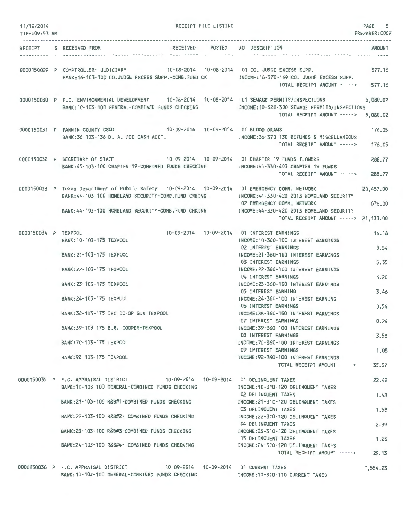| 11/12/2014<br>TIME: 09:53 AM | RECEIPT FILE LISTING                                                                                                                                                                        |            |                                                                                                      | PAGE<br>5<br>PREPARER: 0007 |
|------------------------------|---------------------------------------------------------------------------------------------------------------------------------------------------------------------------------------------|------------|------------------------------------------------------------------------------------------------------|-----------------------------|
| . <i>.</i><br>RECEIPT        | RECEIVED POSTED<br>S RECEIVED FROM<br>-----------                                                                                                                                           | ---------- | NO DESCRIPTION                                                                                       | <b>AMOUNT</b>               |
|                              | 0000150029 P COMPTROLLER- JUDICIARY 10-08-2014 10-08-2014 01 CO. JUDGE EXCESS SUPP.<br>BANK:16-103-100 CO.JUDGE EXCESS SUPP.-COMB.FUND CK NOOME:16-370-149 CO. JUDGE EXCESS SUPP.           |            | <b>The Committee of the Committee</b><br>TOTAL RECEIPT AMOUNT -----> 577.16                          | 577.16                      |
|                              | 0000150030 P F.C. ENVIRONMENTAL DEVELOPMENT 10-08-2014 10-08-2014 01 SEWAGE PERMITS/INSPECTIONS<br>BANK: 10-103-100 GENERAL-COMBINED FUNDS CHECKING                                         |            | INCOME:10-320-300 SEWAGE PERMITS/INSPECTIONS<br>TOTAL RECEIPT AMOUNT ----->                          | 5,080.02<br>5,080.02        |
|                              | 0000150031 P FANNIN COUNTY CSCD 10-09-2014 10-09-2014 01 BLOOD DRAWS<br>BANK:36-103-136 D. A. FEE CASH ACCT.                                                                                |            | INCOME: 36-370-130 REFUNDS & MISCELLANEOUS<br>TOTAL RECEIPT AMOUNT ----->                            | 176.05<br>176.05            |
|                              | 0000150032 P SECRETARY OF STATE 10-09-2014 10-09-2014 10-09-2014 01 CHAPTER 19 FUNDS-FLOWERS<br>BANK:45-103-100 CHAPTER 19-COMBINED FUNDS CHECKING MODE:45-330-403 CHAPTER 19 FUNDS         |            | TOTAL RECEIPT AMOUNT ----->                                                                          | 288.77<br>288.77            |
|                              | 0000150033 P Texas Department of Public Safety 10-09-2014 10-09-2014 01 EMERGENCY COMM. NETWORK<br>BANK:44-103-100 HOMELAND SECURITY-COMB.FUND CHKING NORTHA-330-420 2013 HOMELAND SECURITY |            | 02 EMERGENCY COMM, NETWORK                                                                           | 20,457.00<br>676.00         |
|                              | BANK:44-103-100 HOMELAND SECURITY-COMB.FUND CHKING                                                                                                                                          |            | INCOME: 44-330-420 2013 HOMELAND SECURITY<br>TOTAL RECEIPT AMOUNT -----> 21,133.00                   |                             |
| 0000150034 P TEXPOOL         | BANK: 10-103-175 TEXPOOL                                                                                                                                                                    |            | 10-09-2014  10-09-2014  01 INTEREST EARNINGS<br>INCOME: 10-360-100 INTEREST EARNINGS                 | 14.18                       |
|                              | BANK: 21-103-175 TEXPOOL                                                                                                                                                                    |            | 02 INTEREST EARNINGS<br>INCOME: 21-360-100 INTEREST EARNINGS<br>03 INTEREST EARNINGS                 | 0.54<br>5.55                |
|                              | BANK: 22-103-175 TEXPOOL<br>BANK: 23-103-175 TEXPOOL                                                                                                                                        |            | INCOME: 22-360-100 INTEREST EARNINGS<br>04 INTEREST EARNINGS<br>INCOME: 23-360-100 INTEREST EARNINGS | 6.20                        |
|                              | BANK: 24-103-175 TEXPOOL                                                                                                                                                                    |            | 05 INTEREST EARNING<br>INCOME: 24-360-100 INTEREST EARNING                                           | 3.46                        |
|                              | BANK: 38-103-175 IHC CO-OP GIN TEXPOOL                                                                                                                                                      |            | 06 INTEREST EARNINGS<br>INCOME: 38-360-100 INTEREST EARNINGS<br>07 INTEREST EARNINGS                 | 0.54<br>0.24                |
|                              | BANK: 39-103-175 B.R. COOPER-TEXPOOL                                                                                                                                                        |            | INCOME: 39-360-100 INTEREST EARNINGS<br>08 INTEREST EARNINGS                                         | 3.58                        |
|                              | BANK: 70-103-175 TEXPOOL<br>BANK: 92-103-175 TEXPOOL                                                                                                                                        |            | INCOME: 70-360-100 INTEREST EARNINGS<br>09 INTEREST EARNINGS<br>INCOME: 92-360-100 INTEREST EARNINGS | 1,08                        |
|                              |                                                                                                                                                                                             |            | TOTAL RECEIPT AMOUNT ----->                                                                          | 35.37                       |
|                              | 0000150035 P F.C. APPRAISAL DISTRICT<br>BANK: 10-103-100 GENERAL-COMBINED FUNDS CHECKING                                                                                                    |            | INCOME: 10-310-120 DELINQUENT TAXES<br>02 DELINQUENT TAXES                                           | 22.42<br>1.48               |
|                              | BANK:21-103-100 R&B#1-COMBINED FUNDS CHECKING                                                                                                                                               |            | INCOME:21-310-120 DELINQUENT TAXES<br>03 DELINQUENT TAXES                                            | 1.58                        |
|                              | BANK: 22-103-100 R&B#2- COMBINED FUNDS CHECKING<br>BANK:23-103-100 R&B#3-COMBINED FUNDS CHECKING                                                                                            |            | INCOME: 22-310-120 DELINQUENT TAXES<br>04 DELINQUENT TAXES<br>INCOME:23-310-120 DELINQUENT TAXES     | 2.39                        |
|                              | BANK: 24-103-100 R&B#4- COMBINED FUNDS CHECKING                                                                                                                                             |            | 05 DELINQUENT TAXES<br>INCOME:24-310-120 DELINQUENT TAXES                                            | 1.26                        |
|                              | 0000150036 P F.C. APPRAISAL DISTRICT                                                                                                                                                        |            | TOTAL RECEIPT AMOUNT -----><br>10-09-2014  10-09-2014  01 CURRENT TAXES                              | 29.13<br>1,554.23           |

INCOME:1D-310 - 110 CURRENT TAXES

BANK:10-1D3- 1DD GENERAL-COMBINED FUNDS CHECKING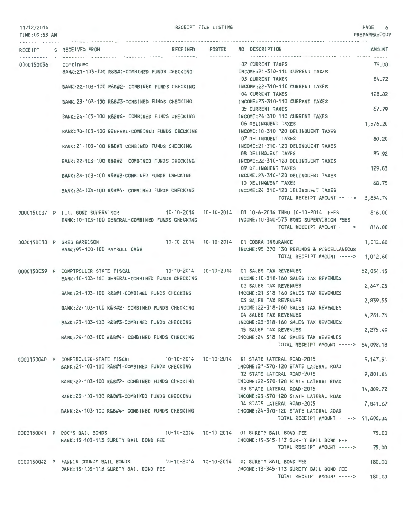#### 11/12/2014 TIME:09 :53 AM

RECEIPT FILE LISTING  $\overline{a}$ 

PREPARER:0007

|                      | RECEIPT S RECEIVED FROM                                                                | RECEIVED POSTED | NO DESCRIPTION                             | <b>AMOUNT</b> |
|----------------------|----------------------------------------------------------------------------------------|-----------------|--------------------------------------------|---------------|
| 0000150036 Continued |                                                                                        |                 | <b>02 CURRENT TAXES</b>                    | 79.08         |
|                      | BANK: 21-103-100 R&B#1-COMBINED FUNDS CHECKING                                         |                 | INCOME: 21-310-110 CURRENT TAXES           |               |
|                      |                                                                                        |                 | <b>03 CURRENT TAXES</b>                    | 84.72         |
|                      | BANK:22-103-100 R&B#2- COMBINED FUNDS CHECKING                                         |                 | INCOME: 22-310-110 CURRENT TAXES           |               |
|                      |                                                                                        |                 | 04 CURRENT TAXES                           | 128.02        |
|                      | BANK: 23-103-100 R&B#3-COMBINED FUNDS CHECKING                                         |                 | INCOME: 23-310-110 CURRENT TAXES           |               |
|                      |                                                                                        |                 | <b>05 CURRENT TAXES</b>                    | 67.79         |
|                      | BANK: 24-103-100 R&B#4- COMBINED FUNDS CHECKING                                        |                 | INCOME: 24-310-110 CURRENT TAXES           |               |
|                      |                                                                                        |                 | 06 DELINQUENT TAXES                        | 1,576.20      |
|                      | BANK: 10-103-100 GENERAL-COMBINED FUNDS CHECKING                                       |                 | INCOME:10-310-120 DELINQUENT TAXES         |               |
|                      |                                                                                        |                 | 07 DELINQUENT TAXES                        | 80.20         |
|                      | BANK: 21-103-100 R&B#1-COMBINED FUNDS CHECKING                                         |                 | INCOME:21-310-120 DELINQUENT TAXES         |               |
|                      |                                                                                        |                 | 08 DELINQUENT TAXES                        | 85.92         |
|                      | BANK:22-103-100 R&B#2- COMBINED FUNDS CHECKING                                         |                 | INCOME: 22-310-120 DELINQUENT TAXES        |               |
|                      |                                                                                        |                 | 09 DELINQUENT TAXES                        | 129.83        |
|                      | BANK: 23-103-100 R&B#3-COMBINED FUNDS CHECKING                                         |                 | INCOME: 23-310-120 DELINQUENT TAXES        |               |
|                      |                                                                                        |                 | 10 DELINQUENT TAXES                        | 68.75         |
|                      | BANK:24-103-100 R&B#4- COMBINED FUNDS CHECKING                                         |                 | INCOME:24-310-120 DELINQUENT TAXES         |               |
|                      |                                                                                        |                 | TOTAL RECEIPT AMOUNT -----> 3,854.74       |               |
|                      |                                                                                        |                 |                                            |               |
|                      | 0000150037 P F.C. BOND SUPERVISOR                                                      |                 |                                            | 816.00        |
|                      | BANK: 10-103-100 GENERAL-COMBINED FUNDS CHECKING                                       |                 | INCOME: 10-340-573 BOND SUPERVISION FEES   |               |
|                      |                                                                                        |                 | TOTAL RECEIPT AMOUNT ----->                | 816.00        |
|                      |                                                                                        |                 |                                            |               |
|                      | 0000150038 P GREG GARRISON                                                             |                 | 10-10-2014 10-10-2014 01 COBRA INSURANCE   | 1,012.60      |
|                      | BANK: 95-100-100 PAYROLL CASH                                                          |                 | INCOME: 95-370-130 REFUNDS & MISCELLANEOUS |               |
|                      |                                                                                        |                 | TOTAL RECEIPT AMOUNT ----->                | 1,012.60      |
|                      |                                                                                        |                 |                                            |               |
|                      | 0000150039 P COMPTROLLER-STATE FISCAL 10-10-2014 10-10-2014 01 SALES TAX REVENUES      |                 |                                            | 52,054.13     |
|                      | BANK: 10-103-100 GENERAL-COMBINED FUNDS CHECKING                                       |                 | INCOME: 10-318-160 SALES TAX REVENUES      |               |
|                      |                                                                                        |                 | 02 SALES TAX REVENUES                      | 2,647.25      |
|                      | BANK:21-103-100 R&B#1-COMBINED FUNDS CHECKING                                          |                 | INCOME: 21-318-160 SALES TAX REVENUES      |               |
|                      |                                                                                        |                 | 03 SALES TAX REVENUES                      | 2,839.55      |
|                      | BANK:22-103-100 R&B#2- COMBINED FUNDS CHECKING                                         |                 | INCOME: 22-318-160 SALES TAX REVENUES      |               |
|                      |                                                                                        |                 | 04 SALES TAX REVENUES                      | 4,281.76      |
|                      | BANK: 23-103-100 R&B#3-COMBINED FUNDS CHECKING                                         |                 | INCOME: 23-318-160 SALES TAX REVENUES      |               |
|                      |                                                                                        |                 | 05 SALES TAX REVENUES                      | 2,275.49      |
|                      | BANK: 24-103-100 R&B#4- COMBINED FUNDS CHECKING                                        |                 | INCOME:24-318-160 SALES TAX REVENUES       |               |
|                      |                                                                                        |                 | TOTAL RECEIPT AMOUNT -----> 64,098.18      |               |
|                      |                                                                                        |                 |                                            |               |
|                      | 0000150040 P COMPTROLLER-STATE FISCAL 10-10-2014 10-10-2014 01 STATE LATERAL ROAD-2015 |                 |                                            | 9,147.91      |
|                      | BANK:21-103-100 R&B#1-COMBINED FUNDS CHECKING                                          |                 | INCOME:21-370-120 STATE LATERAL ROAD       |               |
|                      |                                                                                        |                 | 02 STATE LATERAL ROAD-2015                 | 9,801.04      |
|                      | BANK:22-103-100 R&B#2- COMBINED FUNDS CHECKING                                         |                 | INCOME:22-370-120 STATE LATERAL ROAD       |               |
|                      |                                                                                        |                 | 03 STATE LATERAL ROAD-2015                 | 14,809.72     |
|                      | BANK:23-103-100 R&B#3-COMBINED FUNDS CHECKING TROOME:23-370-120 STATE LATERAL ROAD     |                 |                                            |               |
|                      |                                                                                        |                 | 04 STATE LATERAL ROAD-2015                 | 7,841.67      |
|                      | BANK:24-103-100 R&B#4- COMBINED FUNDS CHECKING INCOME:24-370-120 STATE LATERAL ROAD    |                 |                                            |               |
|                      |                                                                                        |                 | TOTAL RECEIPT AMOUNT -----> 41,600.34      |               |
|                      |                                                                                        |                 |                                            |               |
|                      | 0000150041 P DOC'S BAIL BONDS 10-10-2014 10-10-2014 01 SURETY BAIL BOND FEE            |                 |                                            | 75.00         |
|                      | BANK: 13-103-113 SURETY BAIL BOND FEE                                                  |                 | INCOME: 13-345-113 SURETY BAIL BOND FEE    |               |
|                      |                                                                                        |                 | TOTAL RECEIPT AMOUNT -----> 75.00          |               |
|                      | 0000150042 P FANNIN COUNTY BAIL BONDS 10-10-2014 10-10-2014 01 SURETY BAIL BOND FEE    |                 |                                            | 180.00        |
|                      | BANK:13-103-113 SURETY BAIL BOND FEE                                                   |                 | INCOME:13-345-113 SURETY BAIL BOND FEE     |               |
|                      |                                                                                        |                 | TOTAL RECEIPT AMOUNT -----> 180.00         |               |
|                      |                                                                                        |                 |                                            |               |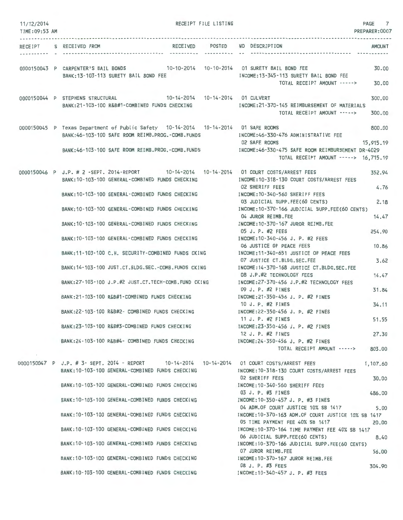| 11/12/2014<br>TIME:09:53 AM | RECEIPT FILE LISTING                                                                                                                            | PAGE 7<br>PREPARER: 0007                                                                                                 |
|-----------------------------|-------------------------------------------------------------------------------------------------------------------------------------------------|--------------------------------------------------------------------------------------------------------------------------|
|                             | RECEIVED POSTED NO DESCRIPTION<br>RECEIPT S RECEIVED FROM                                                                                       | <b>AMOUNT</b>                                                                                                            |
|                             | 0000150043 P CARPENTER'S BAIL BONDS 10-10-2014 10-10-2014 01 SURETY BAIL BOND FEE                                                               | 30.00                                                                                                                    |
|                             | BANK: 13-103-113 SURETY BAIL BOND FEE                                                                                                           | INCOME:13-345-113 SURETY BAIL BOND FEE<br>TOTAL RECEIPT AMOUNT -----><br>30.00                                           |
|                             | 10-14-2014  10-14-2014  01 CULVERT<br>0000150044 P STEPHENS STRUCTURAL<br>BANK:21-103-100 R&B#1-COMBINED FUNDS CHECKING                         | 300.00<br>INCOME: 21-370-145 REIMBURSEMENT OF MATERIALS<br>TOTAL RECEIPT AMOUNT -----><br>300,00                         |
|                             | 0000150045 P Texas Department of Public Safety 10-14-2014 10-14-2014 01 SAFE ROOMS<br>BANK: 46-103-100 SAFE ROOM REIMB.PROG. - COMB. FUNDS      | 800.00<br>INCOME:46-330-476 ADMINISTRATIVE FEE                                                                           |
|                             | BANK:46-103-100 SAFE ROOM REIMB.PROG.-COMB.FUNDS                                                                                                | 02 SAFE ROOMS<br>15,915.19<br>INCOME:46-330-475 SAFE ROOM REIMBURSEMENT DR-4029<br>TOTAL RECEIPT AMOUNT -----> 16,715.19 |
|                             | 0000150046 P J.P. # 2 -SEPT. 2014-REPORT 10-14-2014 10-14-2014 01 COURT COSTS/ARREST FEES<br>BANK: 10-103-100 GENERAL-COMBINED FUNDS CHECKING   | 352.94<br>INCOME:10-318-130 COURT COSTS/ARREST FEES                                                                      |
|                             | BANK:10-103-100 GENERAL-COMBINED FUNDS CHECKING                                                                                                 | 4.76<br><b>02 SHERIFF FEES</b><br>INCOME:10-340-560 SHERIFF FEES                                                         |
|                             | BANK:10-103-100 GENERAL-COMBINED FUNDS CHECKING INCOME:10-370-166 JUDICIAL SUPP.FEE(60 CENTS)                                                   | 2.18<br>03 JUDICIAL SUPP.FEE(60 CENTS)<br>14.47<br>04 JUROR REIMB.FEE                                                    |
|                             | BANK:10-103-100 GENERAL-COMBINED FUNDS CHECKING MODE:10-370-167 JUROR REIMB.FEE                                                                 | 05 J. P. #2 FEES<br>254.90                                                                                               |
|                             | BANK:10-103-100 GENERAL-COMBINED FUNDS CHECKING                                                                                                 | INCOME: 10-340-456 J. P. #2 FEES<br>06 JUSTICE OF PEACE FEES<br>10.86                                                    |
|                             | BANK:11-103-100 C.H. SECURITY-COMBINED FUNDS CKING MODE:11-340-651 JUSTICE OF PEACE FEES                                                        | 3.62<br>07 JUSTICE CT.BLDG.SEC.FEE                                                                                       |
|                             | BANK:14-103-100 JUST.CT.BLDG.SEC.-COMB.FUNDS CKING                                                                                              | INCOME: 14-370-168 JUSTICE CT.BLDG.SEC.FEE<br>14.47<br>08 J.P.#2 TECHNOLOGY FEES                                         |
|                             | BANK:27-103-100 J.P.#2 JUST.CT.TECH-COMB.FUND CKING                                                                                             | INCOME:27-370-456 J.P.#2 TECHNOLOGY FEES<br>09 J. P. #2 FINES<br>31.84                                                   |
|                             | BANK:21-103-100 R&B#1-COMBINED FUNDS CHECKING                                                                                                   | INCOME:21-350-456 J. P. #2 FINES<br>10 J. P. #2 FINES<br>34.11                                                           |
|                             | BANK:22-103-100 R&B#2- COMBINED FUNDS CHECKING                                                                                                  | INCOME: 22-350-456 J. P. #2 FINES<br>11 J. P. #2 FINES<br>51.55                                                          |
|                             | BANK:23-103-100 R&B#3-COMBINED FUNDS CHECKING                                                                                                   | INCOME: 23-350-456 J. P. #2 FINES<br>12 J. P. #2 FINES<br>27,30                                                          |
|                             | BANK:24-103-100 R&B#4- COMBINED FUNDS CHECKING                                                                                                  | INCOME: 24-350-456 J. P. #2 FINES<br>TOTAL RECEIPT AMOUNT -----><br>803.00                                               |
|                             | 0000150047 P J.P. # 3- SEPT. 2014 - REPORT 10-14-2014 10-14-2014 01 COURT COSTS/ARREST FEES<br>BANK: 10-103-100 GENERAL-COMBINED FUNDS CHECKING | 1,107.60<br>INCOME: 10-318-130 COURT COSTS/ARREST FEES<br><b>02 SHERIFF FEES</b><br>30.00                                |
|                             | BANK:10-103-100 GENERAL-COMBINED FUNDS CHECKING                                                                                                 | INCOME: 10-340-560 SHERIFF FEES<br>03 J. P. #3 FINES<br>486.00                                                           |
|                             | BANK:10-103-100 GENERAL-COMBINED FUNDS CHECKING                                                                                                 | INCOME: 10-350-457 J. P. #3 FINES<br>04 ADM.OF COURT JUSTICE 10% SB 1417<br>5.00                                         |
|                             | BANK: 10-103-100 GENERAL-COMBINED FUNDS CHECKING                                                                                                | INCOME:10-370-163 ADM.OF COURT JUSTICE 10% SB 1417<br>05 TIME PAYMENT FEE 40% SB 1417<br>20,00                           |
|                             | BANK:10-103-100 GENERAL-COMBINED FUNDS CHECKING                                                                                                 | INCOME: 10-370-164 TIME PAYMENT FEE 40% SB 1417<br>06 JUDICIAL SUPP.FEE(60 CENTS)<br>8.40                                |
|                             | BANK: 10-103-100 GENERAL-COMBINED FUNDS CHECKING                                                                                                | INCOME:10-370-166 JUDICIAL SUPP.FEE(60 CENTS)<br>07 JUROR REIMB.FEE<br>56.00                                             |
|                             | BANK: 10-103-100 GENERAL-COMBINED FUNDS CHECKING                                                                                                | INCOME:10-370-167 JUROR REIMB.FEE<br>08 J. P. #3 FEES<br>304.90                                                          |
|                             | BANK: 10-103-100 GENERAL-COMBINED FUNDS CHECKING                                                                                                | INCOME: 10-340-457 J. P. #3 FEES                                                                                         |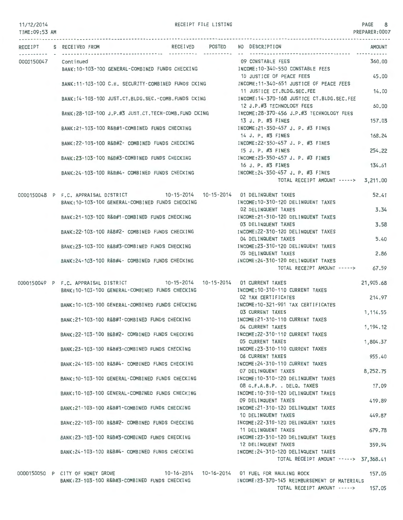#### RECEIPT FILE LISTING 8

| TIME: 09:53 AM |                                  |                                                                                                                                    |          |        |                                                                                                                       | PREPARER:0007       |
|----------------|----------------------------------|------------------------------------------------------------------------------------------------------------------------------------|----------|--------|-----------------------------------------------------------------------------------------------------------------------|---------------------|
| RECEIPT        | S RECEIVED FROM                  |                                                                                                                                    | RECEIVED | POSTED | NO DESCRIPTION<br>--------------------------------------                                                              | AMOUNT              |
| 0000150047     | Continued                        | BANK:10-103-100 GENERAL-COMBINED FUNDS CHECKING                                                                                    |          |        | 09 CONSTABLE FEES<br>INCOME:10-340-550 CONSTABLE FEES                                                                 | 360.00              |
|                |                                  |                                                                                                                                    |          |        | 10 JUSTICE OF PEACE FEES<br>BANK:11-103-100 C.H. SECURITY-COMBINED FUNDS CKING MOOME:11-340-651 JUSTICE OF PEACE FEES | 45.00               |
|                |                                  | BANK:14-103-100 JUST.CT.BLDG.SEC.-COMB.FUNDS CKING                                                                                 |          |        | 11 JUSTICE CT.BLDG.SEC.FEE<br>INCOME:14-370-168 JUSTICE CT.BLDG.SEC.FEE                                               | 14.00               |
|                |                                  | BANK:28-103-100 J.P.#3 JUST.CT.TECH-COMB.FUND CKING                                                                                |          |        | 12 J.P.#3 TECHNOLOGY FEES<br>INCOME:28-370-456 J.P.#3 TECHNOLOGY FEES                                                 | 60.00               |
|                |                                  | BANK:21-103-100 R&B#1-COMBINED FUNDS CHECKING                                                                                      |          |        | 13 J. P. #3 FINES<br>INCOME: 21-350-457 J. P. #3 FINES                                                                | 157.03              |
|                |                                  | BANK:22-103-100 R&B#2- COMBINED FUNDS CHECKING                                                                                     |          |        | 14 J. P. #3 FINES<br>INCOME:22-350-457 J. P. #3 FINES                                                                 | 168.24              |
|                |                                  | BANK:23-103-100 R&B#3-COMBINED FUNDS CHECKING                                                                                      |          |        | 15 J. P. #3 FINES<br>INCOME:23-350-457 J. P. #3 FINES                                                                 | 254.22              |
|                |                                  | BANK:24-103-100 R&B#4- COMBINED FUNDS CHECKING                                                                                     |          |        | 16 J. P. #3 FINES<br>INCOME: 24-350-457 J. P. #3 FINES<br>TOTAL RECEIPT AMOUNT -----> 3,211.00                        | 134.61              |
|                |                                  |                                                                                                                                    |          |        |                                                                                                                       |                     |
|                |                                  | 0000150048 P F.C. APPRAISAL DISTRICT 10-15-2014 10-15-2014 01 DELINQUENT TAXES<br>BANK: 10-103-100 GENERAL-COMBINED FUNDS CHECKING |          |        | INCOME: 10-310-120 DELINQUENT TAXES                                                                                   | 52.41               |
|                |                                  | BANK:21-103-100 R&B#1-COMBINED FUNDS CHECKING                                                                                      |          |        | 02 DELINQUENT TAXES<br>INCOME: 21-310-120 DELINQUENT TAXES                                                            | 3.34                |
|                |                                  | BANK: 22-103-100 R&B#2- COMBINED FUNDS CHECKING                                                                                    |          |        | 03 DELINQUENT TAXES<br>INCOME:22-310-120 DELINQUENT TAXES<br>04 DELINQUENT TAXES                                      | 3.58<br>5.40        |
|                |                                  | BANK:23-103-100 R&B#3-COMBINED FUNDS CHECKING                                                                                      |          |        | INCOME: 23-310-120 DELINQUENT TAXES<br>05 DELINQUENT TAXES                                                            | 2.86                |
|                |                                  | BANK:24-103-100 R&B#4- COMBINED FUNDS CHECKING                                                                                     |          |        | INCOME:24-310-120 DELINQUENT TAXES<br>TOTAL RECEIPT AMOUNT -----> 67.59                                               |                     |
|                |                                  |                                                                                                                                    |          |        |                                                                                                                       |                     |
|                |                                  | 0000150049 P F.C. APPRAISAL DISTRICT 10-15-2014 10-15-2014 01 CURRENT TAXES<br>BANK: 10-103-100 GENERAL-COMBINED FUNDS CHECKING    |          |        | INCOME: 10-310-110 CURRENT TAXES<br>02 TAX CERTIFICATES                                                               | 21,905.68<br>214.97 |
|                |                                  | BANK: 10-103-100 GENERAL-COMBINED FUNDS CHECKING                                                                                   |          |        | INCOME:10-321-901 TAX CERTIFICATES<br>03 CURRENT TAXES                                                                | 1.114.55            |
|                |                                  | BANK: 21-103-100 R&B#1-COMBINED FUNDS CHECKING                                                                                     |          |        | INCOME: 21-310-110 CURRENT TAXES<br>04 CURRENT TAXES                                                                  | 1, 194, 12          |
|                |                                  | BANK: 22-103-100 R&B#2- COMBINED FUNDS CHECKING                                                                                    |          |        | INCOME: 22-310-110 CURRENT TAXES<br>05 CURRENT TAXES                                                                  | 1,804.37            |
|                |                                  | BANK: 23-103-100 R&B#3-COMBINED FUNDS CHECKING                                                                                     |          |        | INCOME: 23-310-110 CURRENT TAXES<br><b>06 CURRENT TAXES</b>                                                           | 955.40              |
|                |                                  | BANK:24-103-100 R&B#4- COMBINED FUNDS CHECKING                                                                                     |          |        | INCOME: 24-310-110 CURRENT TAXES<br>07 DELINQUENT TAXES                                                               | 8,252.75            |
|                |                                  | BANK: 10-103-100 GENERAL-COMBINED FUNDS CHECKING<br>BANK: 10-103-100 GENERAL-COMBINED FUNDS CHECKING                               |          |        | INCOME:10-310-120 DELINQUENT TAXES<br>08 G.F.A.B.P. . DELQ. TAXES<br>INCOME: 10-310-120 DELINQUENT TAXES              | 17.09               |
|                |                                  | BANK:21-103-100 R&B#1-COMBINED FUNDS CHECKING                                                                                      |          |        | 09 DELINQUENT TAXES<br>INCOME: 21-310-120 DELINQUENT TAXES                                                            | 419.89              |
|                |                                  | BANK:22-103-100 R&B#2- COMBINED FUNDS CHECKING                                                                                     |          |        | 10 DELINQUENT TAXES<br>INCOME: 22-310-120 DELINQUENT TAXES                                                            | 449.87              |
|                |                                  | BANK: 23-103-100 R&B#3-COMBINED FUNDS CHECKING                                                                                     |          |        | 11 DELINQUENT TAXES<br>INCOME: 23-310-120 DELINQUENT TAXES                                                            | 679.78              |
|                |                                  | BANK:24-103-100 R&B#4- COMBINED FUNDS CHECKING                                                                                     |          |        | 12 DELINQUENT TAXES<br>INCOME:24-310-120 DELINQUENT TAXES                                                             | 359.94              |
|                |                                  |                                                                                                                                    |          |        | TOTAL RECEIPT AMOUNT -----> 37,368.41                                                                                 |                     |
|                | 0000150050 P CITY OF HONEY GROVE | BANK: 23-103-100 R&B#3-COMBINED FUNDS CHECKING                                                                                     |          |        | INCOME: 23-370-145 REIMBURSEMENT OF MATERIALS<br>TOTAL RECEIPT AMOUNT ----->                                          | 157.05<br>157.05    |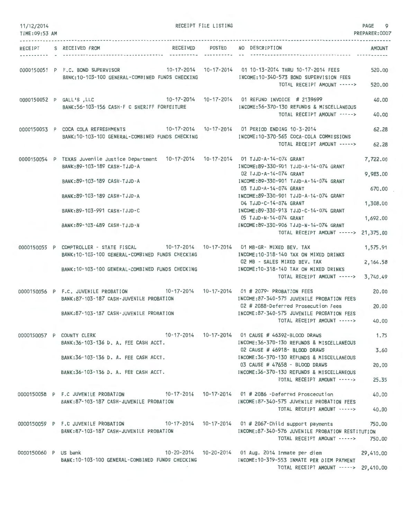| 11/12/2014<br>TIME: 09:53 AM |                                                                                                                                                                                                                                                            | RECEIPT FILE LISTING |                                                                                                                                                                                                                                                                                                                                                     | PAGE<br>9<br>PREPARER: 0007                                         |
|------------------------------|------------------------------------------------------------------------------------------------------------------------------------------------------------------------------------------------------------------------------------------------------------|----------------------|-----------------------------------------------------------------------------------------------------------------------------------------------------------------------------------------------------------------------------------------------------------------------------------------------------------------------------------------------------|---------------------------------------------------------------------|
| .<br>RECEIPT                 | <b>RECEIVED</b><br>S RECEIVED FROM                                                                                                                                                                                                                         | POSTED               | NO DESCRIPTION                                                                                                                                                                                                                                                                                                                                      | <b>AMOUNT</b>                                                       |
|                              | 0000150051 P F.C. BOND SUPERVISOR<br>BANK:10-103-100 GENERAL-COMBINED FUNDS CHECKING                                                                                                                                                                       |                      | 10-17-2014  10-17-2014  01 10-13-2014  THRU 10-17-2014  FEES<br>INCOME:10-340-573 BOND SUPERVISION FEES<br>TOTAL RECEIPT AMOUNT ----->                                                                                                                                                                                                              | 520.00<br>520.00                                                    |
|                              | 10-17-2014  10-17-2014  01 REFUND INVOICE # 2139699<br>0000150052 P GALL'S , LLC<br>BANK: 56-103-156 CASH-F C SHERIFF FORFEITURE                                                                                                                           |                      | INCOME: 56-370-130 REFUNDS & MISCELLANEOUS<br>TOTAL RECEIPT AMOUNT ----->                                                                                                                                                                                                                                                                           | 40.00<br>40.00                                                      |
|                              | 0000150053 P COCA COLA REFRESHMENTS<br>BANK: 10-103-100 GENERAL-COMBINED FUNDS CHECKING                                                                                                                                                                    |                      | 10-17-2014  10-17-2014  01 PERIOD ENDING 10-3-2014<br>INCOME:10-370-565 COCA-COLA COMMISSIONS<br>TOTAL RECEIPT AMOUNT ----->                                                                                                                                                                                                                        | 62.28<br>62.28                                                      |
|                              | 0000150054 P TEXAS Juvenile Justice Department 10-17-2014 10-17-2014 01 TJJD-A-14-074 GRANT<br>BANK: 89-103-189 CASH-TJJD-A<br>BANK: 89-103-189 CASH-TJJD-A<br>BANK:89-103-189 CASH-TJJD-A<br>BANK: 89-103-991 CASH-TJJD-C<br>BANK: 89-103-489 CASH-TJJD-N |                      | INCOME: 89-330-901 TJJD-A-14-074 GRANT<br>02 TJJD-A-14-074 GRANT<br>INCOME:89-330-901 TJJD-A-14-074 GRANT<br>03 TJJD-A-14-074 GRANT<br>INCOME:89-330-901 TJJD-A-14-074 GRANT<br>04 TJJD-C-14-074 GRANT<br>INCOME: 89-330-913 TJJD-C-14-074 GRANT<br>05 TJJD-N-14-074 GRANT<br>INCOME: 89-330-906 TJJD-N-14-074 GRANT<br>TOTAL RECEIPT AMOUNT -----> | 7,722.00<br>9,983.00<br>670.00<br>1,308.00<br>1,692.00<br>21,375.00 |
|                              | 0000150055 P COMPTROLLER - STATE FISCAL<br>BANK: 10-103-100 GENERAL-COMBINED FUNDS CHECKING<br>BANK: 10-103-100 GENERAL-COMBINED FUNDS CHECKING                                                                                                            |                      | 10-17-2014  10-17-2014  01 MB-GR- MIXED BEV, TAX<br>INCOME:10-318-140 TAX ON MIXED DRINKS<br>02 MB - SALES MIXED BEV. TAX<br>INCOME: 10-318-140 TAX ON MIXED DRINKS<br>TOTAL RECEIPT AMOUNT ----->                                                                                                                                                  | 1,575.91<br>2, 164.58<br>3,740.49                                   |
|                              | 0000150056 P F.C. JUVENILE PROBATION<br>BANK:87-103-187 CASH-JUVENILE PROBATION<br>BANK:87-103-187 CASH-JUVENILE PROBATION                                                                                                                                 |                      | INCOME:87-340-575 JUVENILE PROBATION FEES<br>02 # 2088-Deferred Prosecution Fees<br>INCOME:87-340-575 JUVENILE PROBATION FEES<br>TOTAL RECEIPT AMOUNT ----->                                                                                                                                                                                        | 20.00<br>20,00<br>40.00                                             |
|                              | 0000150057 P COUNTY CLERK<br>BANK:36-103-136 D. A. FEE CASH ACCT.<br>BANK:36-103-136 D. A. FEE CASH ACCT.<br>BANK: 36-103-136 D. A. FEE CASH ACCT.                                                                                                         |                      | 10-17-2014  10-17-2014  01 CAUSE # 46392-BLOOD DRAWS<br>INCOME: 36-370-130 REFUNDS & MISCELLANEOUS<br>02 CAUSE # 46918- BLOOD DRAWS<br>INCOME: 36-370-130 REFUNDS & MISCELLANEOUS<br>03 CAUSE # 47658 - BLOOD DRAWS<br>INCOME: 36-370-130 REFUNDS & MISCELLANEOUS<br>TOTAL RECEIPT AMOUNT ----->                                                    | 1.75<br>3.60<br>20,00<br>25.35                                      |
|                              | 0000150058 P F.C JUVENILE PROBATION 10-17-2014 10-17-2014 01 # 2086 -Deferred Proscecution<br>BANK:87-103-187 CASH-JUVENILE PROBATION                                                                                                                      |                      | INCOME:87-340-575 JUVENILE PROBATION FEES<br>TOTAL RECEIPT AMOUNT ----->                                                                                                                                                                                                                                                                            | 40.00<br>40.00                                                      |
|                              | 0000150059 P F.C JUVENILE PROBATION<br>BANK:87-103-187 CASH-JUVENILE PROBATION                                                                                                                                                                             |                      | 10-17-2014  10-17-2014  01 # 2067-Child support payments<br>INCOME:87-340-576 JUVENILE PROBATION RESTITUTION<br>TOTAL RECEIPT AMOUNT ----->                                                                                                                                                                                                         | 750.00<br>750.00                                                    |
| 0000150060 P US bank         | BANK:10-103-100 GENERAL-COMBINED FUNDS CHECKING                                                                                                                                                                                                            |                      | 10-20-2014 10-20-2014 01 Aug. 2014 Inmate per diem<br>INCOME:10-319-553 INMATE PER DIEM PAYMENT<br>TOTAL RECEIPT AMOUNT -----> 29,410.00                                                                                                                                                                                                            | 29,410.00                                                           |

 $\,^{\circ}$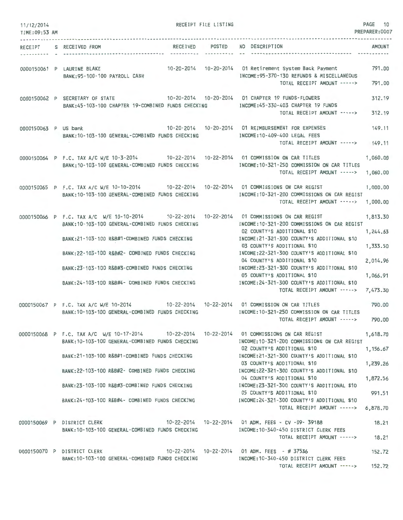| 11/12/2014<br>TIME:09:53 AM | RECEIPT FILE LISTING                                                                                                                                                                       |              |                                                                                                                                             | PAGE 10<br>PREPARER:0007 |
|-----------------------------|--------------------------------------------------------------------------------------------------------------------------------------------------------------------------------------------|--------------|---------------------------------------------------------------------------------------------------------------------------------------------|--------------------------|
|                             | RECEIVED POSTED NO DESCRIPTION<br>RECEIPT S RECEIVED FROM                                                                                                                                  | --------- -- |                                                                                                                                             | AMOUNT                   |
|                             | 0000150061 P LAURINE BLAKE<br>BANK: 95-100-100 PAYROLL CASH                                                                                                                                |              | 10-20-2014 10-20-2014 01 Retirement System Back Payment 791.00<br>INCOME: 95-370-130 REFUNDS & MISCELLANEOUS<br>TOTAL RECEIPT AMOUNT -----> | 791.00                   |
|                             | 0000150062 P SECRETARY OF STATE 10-20-2014 10-20-2014 01 CHAPTER 19 FUNDS-FLOWERS<br>BANK:45-103-100 CHAPTER 19-COMBINED FUNDS CHECKING MODE:45-330-403 CHAPTER 19 FUNDS                   |              | TOTAL RECEIPT AMOUNT ----->                                                                                                                 | 312.19<br>312.19         |
| 0000150063 P US bank        | BANK: 10-103-100 GENERAL-COMBINED FUNDS CHECKING                                                                                                                                           |              | INCOME:10-409-400 LEGAL FEES<br>TOTAL RECEIPT AMOUNT -----> 149.11                                                                          | 149.11                   |
|                             | 0000150064 P F.C. TAX A/C W/E 10-3-2014 10-22-2014 10-22-2014 01 COMMISSION ON CAR TITLES<br>BANK: 10-103-100 GENERAL-COMBINED FUNDS CHECKING                                              |              | INCOME: 10-321-250 COMMISSION ON CAR TITLES<br>TOTAL RECEIPT AMOUNT -----> 1,060.00                                                         | 1,060.00                 |
|                             | 0000150065 P F.C. TAX A/C W/E 10-10-2014 10-22-2014 10-22-2014 01 COMMISSIONS ON CAR REGIST<br>BANK:10-103-100 GENERAL-COMBINED FUNDS CHECKING INCOME:10-321-200 COMMISSIONS ON CAR REGIST |              | TOTAL RECEIPT AMOUNT -----> 1,000.00                                                                                                        | 1,000.00                 |
|                             | 0000150066 P F.C. TAX A/C W/E 10-10-2014 10-22-2014 10-22-2014 01 COMMISSIONS ON CAR REGIST<br>BANK: 10-103-100 GENERAL-COMBINED FUNDS CHECKING                                            |              | INCOME:10-321-200 COMMISSIONS ON CAR REGIST                                                                                                 | 1,813.30                 |
|                             | BANK:21-103-100 R&B#1-COMBINED FUNDS CHECKING                                                                                                                                              |              | 02 COUNTY'S ADDITIONAL \$10<br>INCOME: 21-321-300 COUNTY'S ADDITIONAL \$10<br>03 COUNTY'S ADDITIONAL \$10                                   | 1,244.63<br>1,333.50     |
|                             | BANK:22-103-100 R&B#2- COMBINED FUNDS CHECKING<br>BANK:23-103-100 R&B#3-COMBINED FUNDS CHECKING                                                                                            |              | INCOME:22-321-300 COUNTY'S ADDITIONAL \$10<br>04 COUNTY'S ADDITIONAL \$10<br>INCOME:23-321-300 COUNTY'S ADDITIONAL \$10                     | 2,014.96                 |
|                             | BANK: 24-103-100 R&B#4- COMBINED FUNDS CHECKING                                                                                                                                            |              | 05 COUNTY'S ADDITIONAL \$10<br>INCOME: 24-321-300 COUNTY'S ADDITIONAL \$10<br>TOTAL RECEIPT AMOUNT -----> 7,473.30                          | 1,066.91                 |
|                             | 0000150067 P F.C. TAX A/C W/E 10-2014 10-22-2014 10-22-2014 01 COMMISSION ON CAR TITLES<br>BANK: 10-103-100 GENERAL-COMBINED FUNDS CHECKING                                                |              | INCOME: 10-321-250 COMMISSION ON CAR TITLES<br>TOTAL RECEIPT AMOUNT ----->                                                                  | 790.00<br>790.00         |
|                             | 0000150068 P F.C. TAX A/C W/E 10-17-2014 10-22-2014 10-22-2014 01 COMMISSIONS ON CAR REGIST<br>BANK:10-103-100 GENERAL-COMBINED FUNDS CHECKING                                             |              | INCOME:10-321-200 COMMISSIONS ON CAR REGIST                                                                                                 | 1,618.70                 |
|                             | BANK:21-103-100 R&B#1-COMBINED FUNDS CHECKING                                                                                                                                              |              | 02 COUNTY'S ADDITIONAL \$10<br>INCOME:21-321-300 COUNTY'S ADDITIONAL \$10<br>03 COUNTY'S ADDITIONAL \$10                                    | 1,156.67<br>1,239.26     |
|                             | BANK: 22-103-100 R&B#2- COMBINED FUNDS CHECKING                                                                                                                                            |              | INCOME:22-321-300 COUNTY'S ADDITIONAL \$10<br>04 COUNTY'S ADDITIONAL \$10                                                                   | 1,872.56                 |
|                             | BANK:23-103-100 R&B#3-COMBINED FUNDS CHECKING                                                                                                                                              |              | INCOME: 23-321-300 COUNTY'S ADDITIONAL \$10<br>05 COUNTY'S ADDITIONAL \$10                                                                  | 991.51                   |
|                             | BANK:24-103-100 R&B#4- COMBINED FUNDS CHECKING                                                                                                                                             |              | INCOME:24-321-300 COUNTY'S ADDITIONAL \$10<br>TOTAL RECEIPT AMOUNT -----> 6,878.70                                                          |                          |
|                             | 0000150069 P DISTRICT CLERK                                                                                                                                                                |              | INCOME:10-340-450 DISTRICT CLERK FEES                                                                                                       | 18.21                    |
|                             | BANK: 10-103-100 GENERAL-COMBINED FUNDS CHECKING                                                                                                                                           |              | TOTAL RECEIPT AMOUNT ----->                                                                                                                 | 18.21                    |
|                             | 0000150070 P DISTRICT CLERK 10-22-2014 10-22-2014 01 ADM. FEES - #37536<br>BANK:10-103-100 GENERAL-COMBINED FUNDS CHECKING                                                                 |              | INCOME:10-340-450 DISTRICT CLERK FEES<br>TOTAL RECEIPT AMOUNT ----->                                                                        | 152.72<br>152.72         |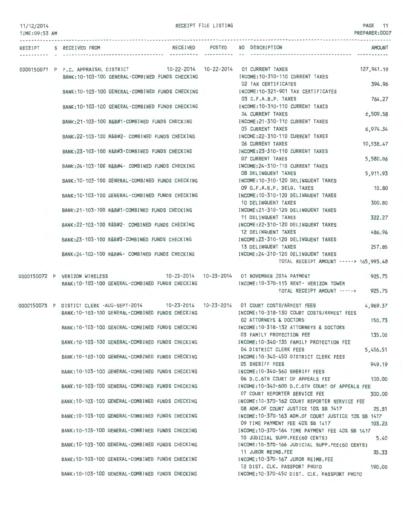RECEIPT FILE LISTING **PAGE** 11

| TIME: 09:53 AM |                               |                                                  |  |                                                                                                      | PREPARER:0007 |
|----------------|-------------------------------|--------------------------------------------------|--|------------------------------------------------------------------------------------------------------|---------------|
| RECEIPT        | S RECEIVED FROM               |                                                  |  | RECEIVED POSTED NO DESCRIPTION                                                                       | <b>AMOUNT</b> |
|                |                               |                                                  |  | 0000150071 P F.C. APPRAISAL DISTRICT 10-22-2014 10-22-2014 01 CURRENT TAXES                          | 127, 941.19   |
|                |                               | BANK: 10-103-100 GENERAL-COMBINED FUNDS CHECKING |  | INCOME: 10-310-110 CURRENT TAXES<br>02 TAX CERTIFICATES                                              | 394.96        |
|                |                               | BANK: 10-103-100 GENERAL-COMBINED FUNDS CHECKING |  | INCOME:10-321-901 TAX CERTIFICATES<br>03 G.F.A.B.P. TAXES                                            | 764.27        |
|                |                               | BANK: 10-103-100 GENERAL-COMBINED FUNDS CHECKING |  | INCOME: 10-310-110 CURRENT TAXES<br>04 CURRENT TAXES                                                 | 6,509.58      |
|                |                               | BANK: 21-103-100 R&B#1-COMBINED FUNDS CHECKING   |  | INCOME: 21-310-110 CURRENT TAXES<br>05 CURRENT TAXES                                                 | 6,974.34      |
|                |                               | BANK: 22-103-100 R&B#2- COMBINED FUNDS CHECKING  |  | INCOME: 22-310-110 CURRENT TAXES<br>06 CURRENT TAXES                                                 | 10,538.47     |
|                |                               | BANK: 23-103-100 R&B#3-COMBINED FUNDS CHECKING   |  | INCOME: 23-310-110 CURRENT TAXES<br>07 CURRENT TAXES                                                 | 5,580.06      |
|                |                               | BANK: 24-103-100 R&B#4- COMBINED FUNDS CHECKING  |  | INCOME: 24-310-110 CURRENT TAXES<br>08 DELINQUENT TAXES                                              | 5,911.93      |
|                |                               | BANK: 10-103-100 GENERAL-COMBINED FUNDS CHECKING |  | INCOME: 10-310-120 DELINQUENT TAXES<br>09 G.F.A.B.P. DELQ. TAXES                                     | 10.80         |
|                |                               | BANK: 10-103-100 GENERAL-COMBINED FUNDS CHECKING |  | INCOME: 10-310-120 DELINQUENT TAXES<br>10 DELINQUENT TAXES                                           | 300.80        |
|                |                               | BANK:21-103-100 R&B#1-COMBINED FUNDS CHECKING    |  | INCOME: 21-310-120 DELINQUENT TAXES<br>11 DELINQUENT TAXES                                           |               |
|                |                               | BANK: 22-103-100 R&B#2- COMBINED FUNDS CHECKING  |  | INCOME:22-310-120 DELINQUENT TAXES                                                                   | 322.27        |
|                |                               | BANK:23-103-100 R&B#3-COMBINED FUNDS CHECKING    |  | 12 DELINQUENT TAXES<br>INCOME: 23-310-120 DELINQUENT TAXES                                           | 486.96        |
|                |                               | BANK: 24-103-100 R&B#4- COMBINED FUNDS CHECKING  |  | 13 DELINQUENT TAXES<br>INCOME: 24-310-120 DELINQUENT TAXES<br>TOTAL RECEIPT AMOUNT -----> 165,993.48 | 257.85        |
|                | 0000150072 P VERIZON WIRELESS |                                                  |  | 10-23-2014  10-23-2014  01 NOVEMBER 2014 PAYMENT                                                     | 925.75        |
|                |                               | BANK: 10-103-100 GENERAL-COMBINED FUNDS CHECKING |  | INCOME:10-370-115 RENT- VERIZON TOWER<br>TOTAL RECEIPT AMOUNT -----> 925.75                          |               |
|                |                               |                                                  |  | 0000150073 P DISTICT CLERK -AUG-SEPT-2014 10-23-2014 10-23-2014 01 COURT COSTS/ARREST FEES           | 4,969.37      |
|                |                               | BANK: 10-103-100 GENERAL-COMBINED FUNDS CHECKING |  | INCOME: 10-318-130 COURT COSTS/ARREST FEES<br>02 ATTORNEYS & DOCTORS                                 | 150.73        |
|                |                               | BANK: 10-103-100 GENERAL-COMBINED FUNDS CHECKING |  | INCOME: 10-318-132 ATTORNEYS & DOCTORS<br>03 FAMILY PROTECTION FEE                                   | 135.00        |
|                |                               | BANK: 10-103-100 GENERAL-COMBINED FUNDS CHECKING |  | INCOME: 10-340-135 FAMILY PROTECTION FEE<br>04 DISTRICT CLERK FEES                                   | 5,456.51      |
|                |                               | BANK: 10-103-100 GENERAL-COMBINED FUNDS CHECKING |  | INCOME: 10-340-450 DISTRICT CLERK FEES<br>05 SHERIFF FEES                                            | 949.19        |
|                |                               | BANK: 10-103-100 GENERAL-COMBINED FUNDS CHECKING |  | INCOME: 10-340-560 SHERIFF FEES<br>06 D.C.6TH COURT OF APPEALS FEE                                   | 100,00        |
|                |                               | BANK: 10-103-100 GENERAL-COMBINED FUNDS CHECKING |  | INCOME: 10-340-600 D.C.6TH COURT OF APPEALS FEE<br>07 COURT REPORTER SERVICE FEE                     | 300.00        |
|                |                               | BANK:10-103-100 GENERAL-COMBINED FUNDS CHECKING  |  | INCOME:10-370-162 COURT REPORTER SERVICE FEE<br>08 ADM.OF COURT JUSTICE 10% SB 1417                  | 25.81         |
|                |                               | BANK: 10-103-100 GENERAL-COMBINED FUNDS CHECKING |  | INCOME: 10-370-163 ADM.OF COURT JUSTICE 10% SB 1417<br>09 TIME PAYMENT FEE 40% SB 1417               | 103.23        |
|                |                               | BANK: 10-103-100 GENERAL-COMBINED FUNDS CHECKING |  | INCOME: 10-370-164 TIME PAYMENT FEE 40% SB 1417<br>10 JUDICIAL SUPP.FEE(60 CENTS)                    | 5.40          |
|                |                               | BANK: 10-103-100 GENERAL-COMBINED FUNDS CHECKING |  | INCOME: 10-370-166 JUDICIAL SUPP FEE(60 CENTS)<br>11 JUROR REIMB.FEE                                 | 35.33         |
|                |                               | BANK: 10-103-100 GENERAL-COMBINED FUNDS CHECKING |  | INCOME:10-370-167 JUROR REIMB.FEE<br>12 DIST. CLK. PASSPORT PHOTO                                    | 190.00        |
|                |                               | BANK: 10-103-100 GENERAL-COMBINED FUNDS CHECKING |  | INCOME:10-370-450 DIST. CLK. PASSPORT PHOTO                                                          |               |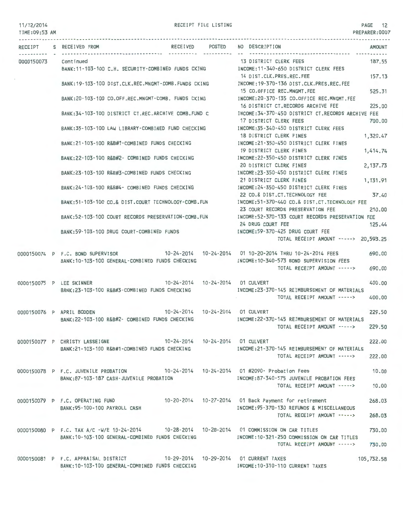#### 11/12/2014 TIME:09:53 AM

#### RECEIPT FILE LISTING PAGE 12

| RECEIPT    | RECEIVED POSTED<br>S RECEIVED FROM                                                                   | NO DESCRIPTION                                         | AMOUNT     |
|------------|------------------------------------------------------------------------------------------------------|--------------------------------------------------------|------------|
| 0000150073 | Continued                                                                                            | 13 DISTRICT CLERK FEES                                 | 187.55     |
|            | BANK:11-103-100 C.H. SECURITY-COMBINED FUNDS CKING MOOME:11-340-650 DISTRICT CLERK FEES              |                                                        |            |
|            |                                                                                                      |                                                        |            |
|            |                                                                                                      | 14 DIST.CLK.PRES.REC.FEE                               | 157.13     |
|            | BANK:19-103-100 DIST.CLK.REC.MNGMT-COMB.FUNDS CKING                                                  | INCOME:19-370-136 DIST.CLK.PRES.REC.FEE                |            |
|            |                                                                                                      | 15 CO.OFFICE REC.MNGMT.FEE                             | 525.31     |
|            | BANK:20-103-100 CO.OFF.REC.MNGMT-COMB. FUNDS CKING                                                   | INCOME:20-370-135 CO.OFFICE REC.MNGMT.FEE              |            |
|            |                                                                                                      | 16 DISTRICT CT.RECORDS ARCHIVE FEE                     | 225.00     |
|            | BANK:34-103-100 DISTRICT CT.REC.ARCHIVE COMB.FUND C                                                  | INCOME:34-370-450 DISTRICT CT.RECORDS ARCHIVE FEE      |            |
|            |                                                                                                      | 17 DISTRICT CLERK FEES                                 | 700.00     |
|            |                                                                                                      | INCOME: 35-340-450 DISTRICT CLERK FEES                 |            |
|            | BANK:35-103-100 LAW LIBRARY-COMBINED FUND CHECKING                                                   |                                                        |            |
|            |                                                                                                      | 18 DISTRICT CLERK FINES                                | 1,320.47   |
|            | BANK:21-103-100 R&B#1-COMBINED FUNDS CHECKING                                                        | INCOME:21-350-450 DISTRICT CLERK FINES                 |            |
|            |                                                                                                      | 19 DISTRICT CLERK FINES                                | 1,414.74   |
|            | BANK:22-103-100 R&B#2- COMBINED FUNDS CHECKING                                                       | INCOME:22-350-450 DISTRICT CLERK FINES                 |            |
|            |                                                                                                      | 20 DISTRICT CLERK FINES                                | 2,137.73   |
|            | BANK: 23-103-100 R&B#3-COMBINED FUNDS CHECKING                                                       | INCOME:23-350-450 DISTRICT CLERK FINES                 |            |
|            |                                                                                                      | 21 DISTRICT CLERK FINES                                | 1, 131.91  |
|            |                                                                                                      |                                                        |            |
|            | BANK:24-103-100 R&B#4- COMBINED FUNDS CHECKING                                                       | INCOME:24-350-450 DISTRICT CLERK FINES                 |            |
|            |                                                                                                      | 22 CO.& DIST.CT.TECHNOLOGY FEE                         | 37.40      |
|            | BANK:51-103-100 CO.& DIST.COURT TECHNOLOGY-COMB.FUN MOOME:51-370-440 CO.& DIST.CT.TECHNOLOGY FEE     |                                                        |            |
|            |                                                                                                      | 23 COURT RECORDS PRESERVATION FEE                      | 210.00     |
|            | BANK:52-103-100 COURT RECORDS PRESERVATION-COMB.FUN INCOME:52-370-133 COURT RECORDS PRESERVATION FEE |                                                        |            |
|            |                                                                                                      | 24 DRUG COURT FEE                                      | 125.44     |
|            | BANK:59-103-100 DRUG COURT-COMBINED FUNDS                                                            | INCOME:59-370-425 DRUG COURT FEE                       |            |
|            |                                                                                                      | TOTAL RECEIPT AMOUNT -----> 20,593.25                  |            |
|            |                                                                                                      |                                                        |            |
|            | 0000150074 P F.C. BOND SUPERVISOR 10-24-2014 10-24-2014 01 10-20-2014 THRU 10-24-2014 FEES           |                                                        | 690.00     |
|            |                                                                                                      |                                                        |            |
|            | BANK: 10-103-100 GENERAL-COMBINED FUNDS CHECKING                                                     | INCOME:10-340-573 BOND SUPERVISION FEES                |            |
|            |                                                                                                      | TOTAL RECEIPT AMOUNT ----->                            | 690.00     |
|            |                                                                                                      |                                                        |            |
|            | 10-24-2014  10-24-2014  01 CULVERT<br>0000150075 P LEE SKINNER                                       |                                                        | 400.00     |
|            | BANK:23-103-100 R&B#3-COMBINED FUNDS CHECKING                                                        | INCOME:23-370-145 REIMBURSEMENT OF MATERIALS           |            |
|            |                                                                                                      | TOTAL RECEIPT AMOUNT ----->                            | 400.00     |
|            |                                                                                                      |                                                        |            |
|            | 0000150076 P APRIL BODDEN                                                                            |                                                        | 229.50     |
|            | BANK: 22-103-100 R&B#2- COMBINED FUNDS CHECKING                                                      | INCOME:22-370-145 REIMBURSEMENT OF MATERIALS           |            |
|            |                                                                                                      | TOTAL RECEIPT AMOUNT ----->                            | 229.50     |
|            |                                                                                                      |                                                        |            |
|            |                                                                                                      |                                                        |            |
|            | 0000150077 P CHRISTY LASSEIGNE                                                                       |                                                        | 222.00     |
|            | BANK:21-103-100 R&B#1-COMBINED FUNDS CHECKING                                                        | INCOME:21-370-145 REIMBURSEMENT OF MATERIALS           |            |
|            |                                                                                                      | TOTAL RECEIPT AMOUNT ----->                            | 222.00     |
|            |                                                                                                      |                                                        |            |
|            | 0000150078 P F.C. JUVENILE PROBATION 10-24-2014 10-24-2014 01 #2090- Probation Fees                  |                                                        | 10.00      |
|            | BANK:87-103-187 CASH-JUVENILE PROBATION                                                              | INCOME:87-340-575 JUVENILE PROBATION FEES              |            |
|            |                                                                                                      | TOTAL RECEIPT AMOUNT ----->                            | 10.00      |
|            |                                                                                                      |                                                        |            |
|            |                                                                                                      |                                                        |            |
|            | 0000150079 P F.C. OPERATING FUND                                                                     | 10-20-2014  10-27-2014  01 Back Payment for retirement | 268.03     |
|            | BANK: 95-100-100 PAYROLL CASH                                                                        | INCOME: 95-370-130 REFUNDS & MISCELLANEOUS             |            |
|            |                                                                                                      | TOTAL RECEIPT AMOUNT ----->                            | 268.03     |
|            |                                                                                                      |                                                        |            |
|            | 0000150080 P F.C. TAX A/C -W/E 10-24-2014 10-28-2014 10-28-2014 01 COMMISSION ON CAR TITLES          |                                                        | 730.00     |
|            | BANK: 10-103-100 GENERAL-COMBINED FUNDS CHECKING                                                     | INCOME: 10-321-250 COMMISSION ON CAR TITLES            |            |
|            |                                                                                                      | TOTAL RECEIPT AMOUNT ----->                            | 730.00     |
|            |                                                                                                      |                                                        |            |
|            |                                                                                                      |                                                        |            |
|            | 0000150081 P F.C. APPRAISAL DISTRICT 10-29-2014 10-29-2014 01 CURRENT TAXES                          |                                                        | 105,732.58 |
|            | BANK: 10-103-100 GENERAL-COMBINED FUNDS CHECKING                                                     | INCOME: 10-310-110 CURRENT TAXES                       |            |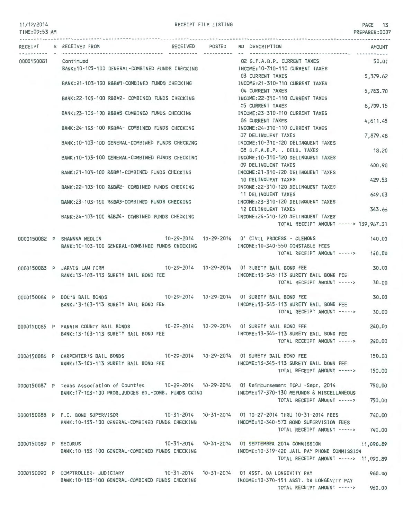#### 11/12/2014 TIME:09:53 AM

RECEIPT FILE LISTING PAGE 13

| TIME:U9:53 AM        |                                                                                                                                                                                                    |                                                                                      | PREPARER:0007 |
|----------------------|----------------------------------------------------------------------------------------------------------------------------------------------------------------------------------------------------|--------------------------------------------------------------------------------------|---------------|
|                      | RECEIPT S RECEIVED FROM                                                                                                                                                                            | RECEIVED POSTED NO DESCRIPTION                                                       | <b>AMOUNT</b> |
| 0000150081 Continued | BANK:10-103-100 GENERAL-COMBINED FUNDS CHECKING MANUSING INCOME:10-310-110 CURRENT TAXES                                                                                                           | 02 G.F.A.B.P. CURRENT TAXES                                                          | 50.01         |
|                      | BANK:21-103-100 R&B#1-COMBINED FUNDS CHECKING                                                                                                                                                      | 03 CURRENT TAXES<br>INCOME:21-310-110 CURRENT TAXES                                  | 5,379.62      |
|                      | BANK:22-103-100 R&B#2- COMBINED FUNDS CHECKING                                                                                                                                                     | 04 CURRENT TAXES<br>INCOME: 22-310-110 CURRENT TAXES                                 | 5,763.70      |
|                      |                                                                                                                                                                                                    | <b>05 CURRENT TAXES</b>                                                              | 8,709.15      |
|                      | BANK:23-103-100 R&B#3-COMBINED FUNDS CHECKING                                                                                                                                                      | INCOME: 23-310-110 CURRENT TAXES<br>06 CURRENT TAXES                                 | 4,611.45      |
|                      | BANK:24-103-100 R&B#4- COMBINED FUNDS CHECKING                                                                                                                                                     | INCOME:24-310-110 CURRENT TAXES<br>07 DELINQUENT TAXES                               | 7,879.48      |
|                      | BANK: 10-103-100 GENERAL-COMBINED FUNDS CHECKING                                                                                                                                                   | INCOME:10-310-120 DELINQUENT TAXES<br>08 G.F.A.B.P. . DELQ. TAXES                    | 18.20         |
|                      | BANK: 10-103-100 GENERAL-COMBINED FUNDS CHECKING                                                                                                                                                   | INCOME:10-310-120 DELINQUENT TAXES                                                   |               |
|                      | BANK:21-103-100 R&B#1-COMBINED FUNDS CHECKING                                                                                                                                                      | 09 DELINQUENT TAXES<br>INCOME:21-310-120 DELINQUENT TAXES                            | 400.90        |
|                      | BANK: 22-103-100 R&B#2- COMBINED FUNDS CHECKING                                                                                                                                                    | 10 DELINQUENT TAXES<br>INCOME:22-310-120 DELINQUENT TAXES                            | 429.53        |
|                      | BANK:23-103-100 R&B#3-COMBINED FUNDS CHECKING                                                                                                                                                      | 11 DELINQUENT TAXES<br>INCOME:23-310-120 DELINQUENT TAXES                            | 649.03        |
|                      | BANK:24-103-100 R&B#4- COMBINED FUNDS CHECKING MANUSIC MCOME:24-310-120 DELINQUENT TAXES                                                                                                           | 12 DELINQUENT TAXES                                                                  | 343.66        |
|                      |                                                                                                                                                                                                    | TOTAL RECEIPT AMOUNT -----> 139,967.31                                               |               |
|                      | 0000150082 P SHAWNNA MEDLIN                                                                                                                                                                        | 10-29-2014  10-29-2014  01 CIVIL PROCESS - CLEMONS                                   | 140.00        |
|                      | BANK:10-103-100 GENERAL-COMBINED FUNDS CHECKING                                                                                                                                                    | INCOME:10-340-550 CONSTABLE FEES<br>TOTAL RECEIPT AMOUNT -----> 140.00               |               |
|                      | 0000150083 P JARVIS LAW FIRM                                                                                                                                                                       |                                                                                      | 30.00         |
|                      | BANK: 13-103-113 SURETY BAIL BOND FEE                                                                                                                                                              | INCOME: 13-345-113 SURETY BAIL BOND FEE<br>TOTAL RECEIPT AMOUNT ----->               | 30.00         |
|                      | 0000150084 P DOC'S BAIL BONDS 10-29-2014 10-29-2014 01 SURETY BAIL BOND FEE                                                                                                                        |                                                                                      | 30.00         |
|                      | BANK: 13-103-113 SURETY BAIL BOND FEE                                                                                                                                                              | INCOME: 13-345-113 SURETY BAIL BOND FEE<br>TOTAL RECEIPT AMOUNT ----->               | 30.00         |
|                      | 0000150085 P FANNIN COUNTY BAIL BONDS 10-29-2014 10-29-2014 01 SURETY BAIL BOND FEE                                                                                                                |                                                                                      | 240,00        |
|                      | BANK: 13-103-113 SURETY BAIL BOND FEE                                                                                                                                                              | INCOME: 13-345-113 SURETY BAIL BOND FEE                                              |               |
|                      |                                                                                                                                                                                                    | TOTAL RECEIPT AMOUNT -----> 240.00                                                   |               |
|                      | 0000150086 P CARPENTER'S BAIL BONDS 10-29-2014 10-29-2014 01 SURETY BAIL BOND FEE<br>BANK: 13-103-113 SURETY BAIL BOND FEE                                                                         | INCOME:13-345-113 SURETY BAIL BOND FEE                                               | 150.00        |
|                      |                                                                                                                                                                                                    | TOTAL RECEIPT AMOUNT ----->                                                          | 150.00        |
|                      | 0000150087 P Texas Association of Counties 10-29-2014 10-29-2014 01 Reimbursement TCPJ -Sept. 2014<br>BANK:17-103-100 PROB.JUDGES ED.-COMB. FUNDS CKING [INCOME:17-370-130 REFUNDS & MISCELLANEOUS |                                                                                      | 750.00        |
|                      |                                                                                                                                                                                                    | TOTAL RECEIPT AMOUNT ----->                                                          | 750,00        |
|                      | 0000150088 P F.C. BOND SUPERVISOR 10-31-2014 10-31-2014 01 10-27-2014 THRU 10-31-2014 FEES 740.00                                                                                                  |                                                                                      |               |
|                      | BANK:10-103-100 GENERAL-COMBINED FUNDS CHECKING MEDICALLY INCOME:10-340-573 BOND SUPERVISION FEES                                                                                                  | TOTAL RECEIPT AMOUNT -----> 740.00                                                   |               |
|                      | 0000150089 P SECURUS 10-31-2014 10-31-2014 10-31-2014 01 SEPTEMBER 2014 COMMISSION 1,090.89                                                                                                        |                                                                                      |               |
|                      | BANK: 10-103-100 GENERAL-COMBINED FUNDS CHECKING                                                                                                                                                   | INCOME:10-319-420 JAIL PAY PHONE COMMISSION<br>TOTAL RECEIPT AMOUNT -----> 11,090.89 |               |
|                      | 0000150090 P COMPTROLLER- JUDICIARY 10-31-2014 10-31-2014 01 ASST. DA LONGEVITY PAY                                                                                                                |                                                                                      | 960.00        |
|                      | BANK:10-103-100 GENERAL-COMBINED FUNDS CHECKING MODE:10-370-151 ASST. DA LONGEVITY PAY                                                                                                             | TOTAL RECEIPT AMOUNT -----> 960.00                                                   |               |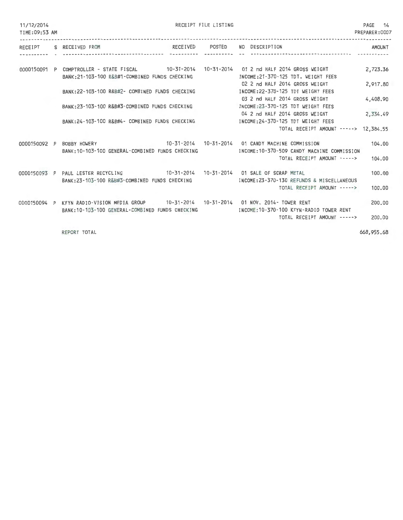| 11/12/2014<br>TIME: 09:53 AM |  | RECEIPT FILE LISTING                                                                                                                            |                 |                                                                                                        |               |  |
|------------------------------|--|-------------------------------------------------------------------------------------------------------------------------------------------------|-----------------|--------------------------------------------------------------------------------------------------------|---------------|--|
|                              |  | RECEIPT S RECEIVED FROM                                                                                                                         | RECEIVED POSTED | NO DESCRIPTION                                                                                         | <b>AMOUNT</b> |  |
|                              |  | 0000150091 P COMPTROLLER - STATE FISCAL 4 10-31-2014 10-31-2014 01 2 nd HALF 2014 GROSS WEIGHT<br>BANK:21-103-100 R&B#1-COMBINED FUNDS CHECKING |                 | INCOME: 21-370-125 TDT. WEIGHT FEES                                                                    | 2,723.36      |  |
|                              |  | BANK: 22-103-100 R&B#2- COMBINED FUNDS CHECKING                                                                                                 |                 | 02 2 nd HALF 2014 GROSS WEIGHT<br>INCOME: 22-370-125 TDT WEIGHT FEES                                   | 2,917.80      |  |
|                              |  | BANK: 23-103-100 R&B#3-COMBINED FUNDS CHECKING                                                                                                  |                 | 03 2 nd HALF 2014 GROSS WEIGHT<br>INCOME: 23-370-125 TDT WEIGHT FEES<br>04 2 nd HALF 2014 GROSS WEIGHT | 4,408.90      |  |
|                              |  | BANK:24-103-100 R&B#4- COMBINED FUNDS CHECKING                                                                                                  |                 | INCOME:24-370-125 TDT WEIGHT FEES<br>TOTAL RECEIPT AMOUNT -----> 12,384.55                             | 2,334.49      |  |
|                              |  | 10-31-2014  10-31-2014  01 CANDY MACHINE COMMISSION<br>0000150092 P BOBBY HOWERY<br>BANK: 10-103-100 GENERAL-COMBINED FUNDS CHECKING            |                 | INCOME:10-370-509 CANDY MACHINE COMMISSION                                                             | 104.00        |  |
|                              |  |                                                                                                                                                 |                 | TOTAL RECEIPT AMOUNT ----->                                                                            | 104.00        |  |
|                              |  | 0000150093 P PAUL LESTER RECYCLING 10-31-2014 10-31-2014 01 SALE OF SCRAP METAL<br>BANK:23-103-100 R&B#3-COMBINED FUNDS CHECKING                |                 | INCOME: 23-370-130 REFUNDS & MISCELLANEOUS                                                             | 100,00        |  |
|                              |  |                                                                                                                                                 |                 | TOTAL RECEIPT AMOUNT ----->                                                                            | 100.00        |  |
|                              |  | 0000150094 P KFYN RADIO-VISION MEDIA GROUP 10-31-2014 10-31-2014 01 NOV. 2014- TOWER RENT<br>BANK: 10-103-100 GENERAL-COMBINED FUNDS CHECKING   |                 | INCOME: 10-370-100 KFYN-RADIO TOWER RENT<br>TOTAL RECEIPT AMOUNT ----->                                | 200,00        |  |
|                              |  |                                                                                                                                                 |                 |                                                                                                        | 200.00        |  |

REPORT TOTAL 668,955.68